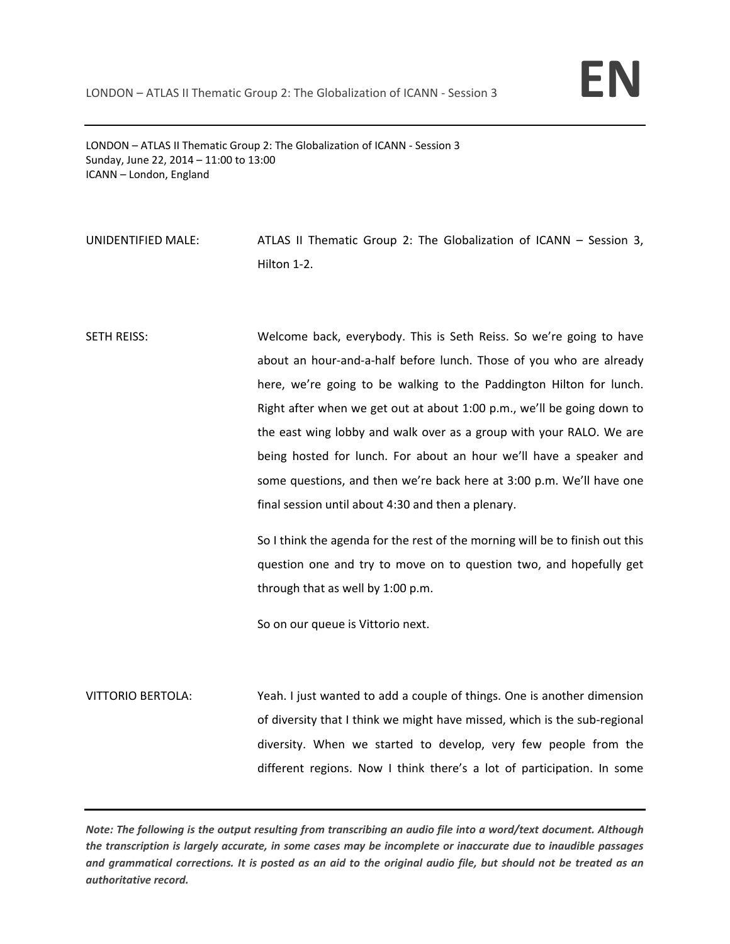

LONDON – ATLAS II Thematic Group 2: The Globalization of ICANN ‐ Session 3 Sunday, June 22, 2014 – 11:00 to 13:00 ICANN – London, England

UNIDENTIFIED MALE: ATLAS II Thematic Group 2: The Globalization of ICANN – Session 3, Hilton 1‐2.

SETH REISS: Welcome back, everybody. This is Seth Reiss. So we're going to have about an hour‐and‐a‐half before lunch. Those of you who are already here, we're going to be walking to the Paddington Hilton for lunch. Right after when we get out at about 1:00 p.m., we'll be going down to the east wing lobby and walk over as a group with your RALO. We are being hosted for lunch. For about an hour we'll have a speaker and some questions, and then we're back here at 3:00 p.m. We'll have one final session until about 4:30 and then a plenary.

> So I think the agenda for the rest of the morning will be to finish out this question one and try to move on to question two, and hopefully get through that as well by 1:00 p.m.

So on our queue is Vittorio next.

VITTORIO BERTOLA: Yeah. I just wanted to add a couple of things. One is another dimension of diversity that I think we might have missed, which is the sub-regional diversity. When we started to develop, very few people from the different regions. Now I think there's a lot of participation. In some

Note: The following is the output resulting from transcribing an audio file into a word/text document. Although the transcription is largely accurate, in some cases may be incomplete or inaccurate due to inaudible passages and grammatical corrections. It is posted as an aid to the original audio file, but should not be treated as an *authoritative record.*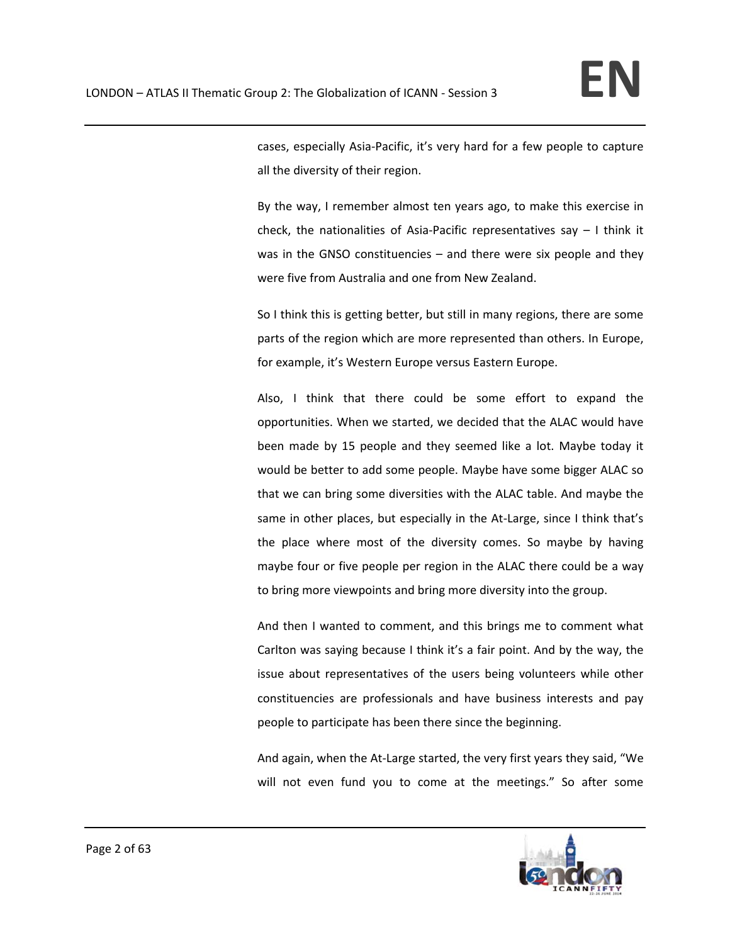cases, especially Asia‐Pacific, it's very hard for a few people to capture all the diversity of their region.

By the way, I remember almost ten years ago, to make this exercise in check, the nationalities of Asia‐Pacific representatives say – I think it was in the GNSO constituencies – and there were six people and they were five from Australia and one from New Zealand.

So I think this is getting better, but still in many regions, there are some parts of the region which are more represented than others. In Europe, for example, it's Western Europe versus Eastern Europe.

Also, I think that there could be some effort to expand the opportunities. When we started, we decided that the ALAC would have been made by 15 people and they seemed like a lot. Maybe today it would be better to add some people. Maybe have some bigger ALAC so that we can bring some diversities with the ALAC table. And maybe the same in other places, but especially in the At-Large, since I think that's the place where most of the diversity comes. So maybe by having maybe four or five people per region in the ALAC there could be a way to bring more viewpoints and bring more diversity into the group.

And then I wanted to comment, and this brings me to comment what Carlton was saying because I think it's a fair point. And by the way, the issue about representatives of the users being volunteers while other constituencies are professionals and have business interests and pay people to participate has been there since the beginning.

And again, when the At‐Large started, the very first years they said, "We will not even fund you to come at the meetings." So after some

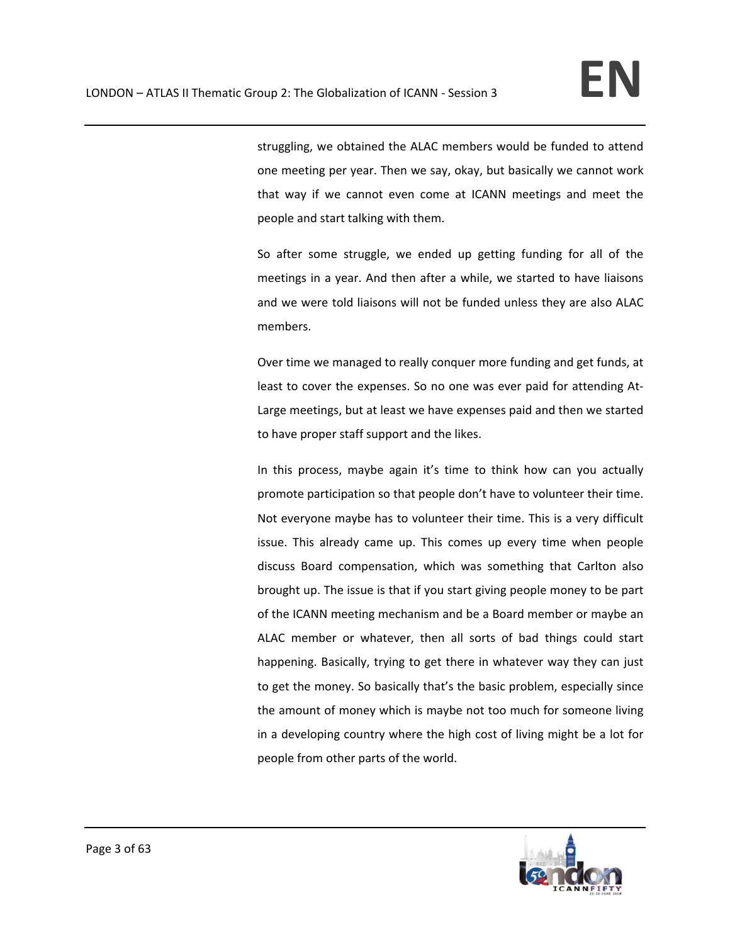struggling, we obtained the ALAC members would be funded to attend one meeting per year. Then we say, okay, but basically we cannot work that way if we cannot even come at ICANN meetings and meet the people and start talking with them.

So after some struggle, we ended up getting funding for all of the meetings in a year. And then after a while, we started to have liaisons and we were told liaisons will not be funded unless they are also ALAC members.

Over time we managed to really conquer more funding and get funds, at least to cover the expenses. So no one was ever paid for attending At‐ Large meetings, but at least we have expenses paid and then we started to have proper staff support and the likes.

In this process, maybe again it's time to think how can you actually promote participation so that people don't have to volunteer their time. Not everyone maybe has to volunteer their time. This is a very difficult issue. This already came up. This comes up every time when people discuss Board compensation, which was something that Carlton also brought up. The issue is that if you start giving people money to be part of the ICANN meeting mechanism and be a Board member or maybe an ALAC member or whatever, then all sorts of bad things could start happening. Basically, trying to get there in whatever way they can just to get the money. So basically that's the basic problem, especially since the amount of money which is maybe not too much for someone living in a developing country where the high cost of living might be a lot for people from other parts of the world.

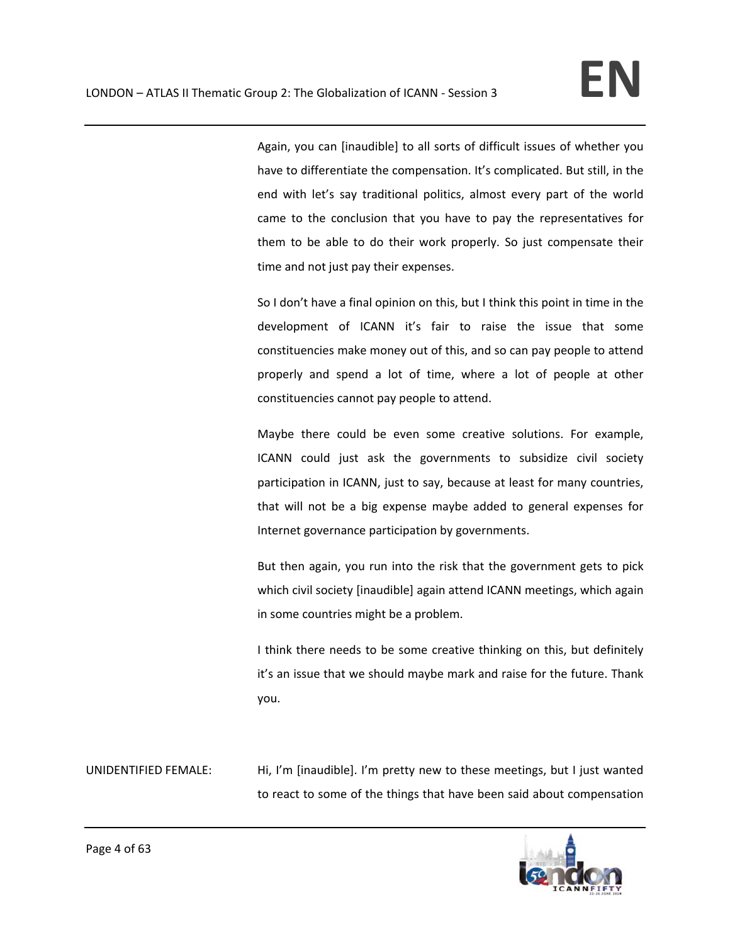Again, you can [inaudible] to all sorts of difficult issues of whether you have to differentiate the compensation. It's complicated. But still, in the end with let's say traditional politics, almost every part of the world came to the conclusion that you have to pay the representatives for them to be able to do their work properly. So just compensate their time and not just pay their expenses.

So I don't have a final opinion on this, but I think this point in time in the development of ICANN it's fair to raise the issue that some constituencies make money out of this, and so can pay people to attend properly and spend a lot of time, where a lot of people at other constituencies cannot pay people to attend.

Maybe there could be even some creative solutions. For example, ICANN could just ask the governments to subsidize civil society participation in ICANN, just to say, because at least for many countries, that will not be a big expense maybe added to general expenses for Internet governance participation by governments.

But then again, you run into the risk that the government gets to pick which civil society [inaudible] again attend ICANN meetings, which again in some countries might be a problem.

I think there needs to be some creative thinking on this, but definitely it's an issue that we should maybe mark and raise for the future. Thank you.

UNIDENTIFIED FEMALE: Hi, I'm [inaudible]. I'm pretty new to these meetings, but I just wanted to react to some of the things that have been said about compensation

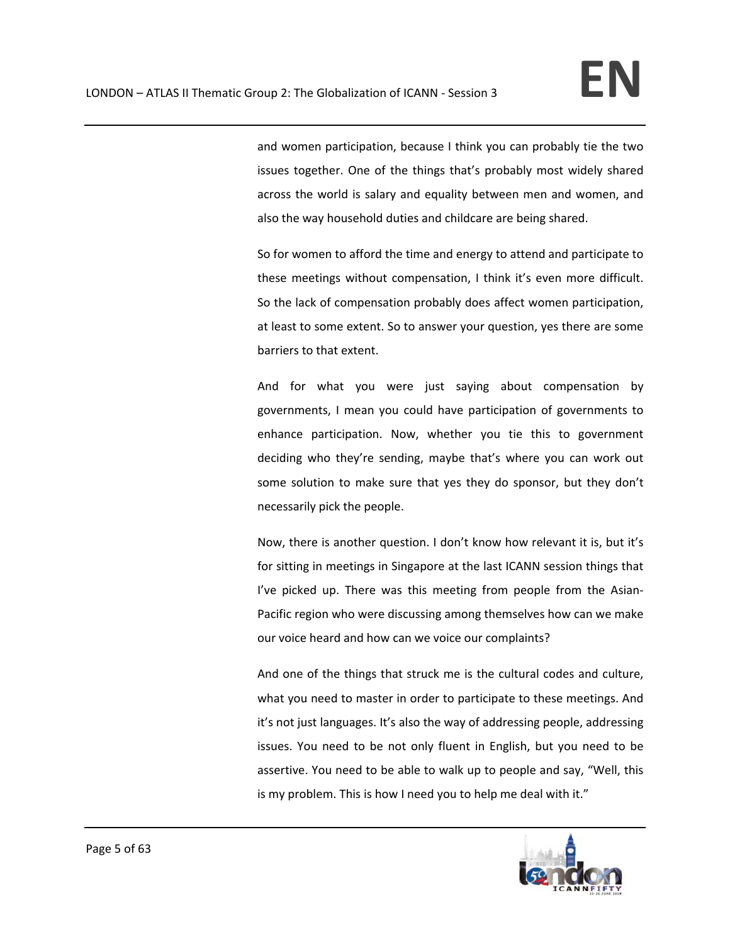and women participation, because I think you can probably tie the two issues together. One of the things that's probably most widely shared across the world is salary and equality between men and women, and also the way household duties and childcare are being shared.

So for women to afford the time and energy to attend and participate to these meetings without compensation, I think it's even more difficult. So the lack of compensation probably does affect women participation, at least to some extent. So to answer your question, yes there are some barriers to that extent.

And for what you were just saying about compensation by governments, I mean you could have participation of governments to enhance participation. Now, whether you tie this to government deciding who they're sending, maybe that's where you can work out some solution to make sure that yes they do sponsor, but they don't necessarily pick the people.

Now, there is another question. I don't know how relevant it is, but it's for sitting in meetings in Singapore at the last ICANN session things that I've picked up. There was this meeting from people from the Asian‐ Pacific region who were discussing among themselves how can we make our voice heard and how can we voice our complaints?

And one of the things that struck me is the cultural codes and culture, what you need to master in order to participate to these meetings. And it's not just languages. It's also the way of addressing people, addressing issues. You need to be not only fluent in English, but you need to be assertive. You need to be able to walk up to people and say, "Well, this is my problem. This is how I need you to help me deal with it."

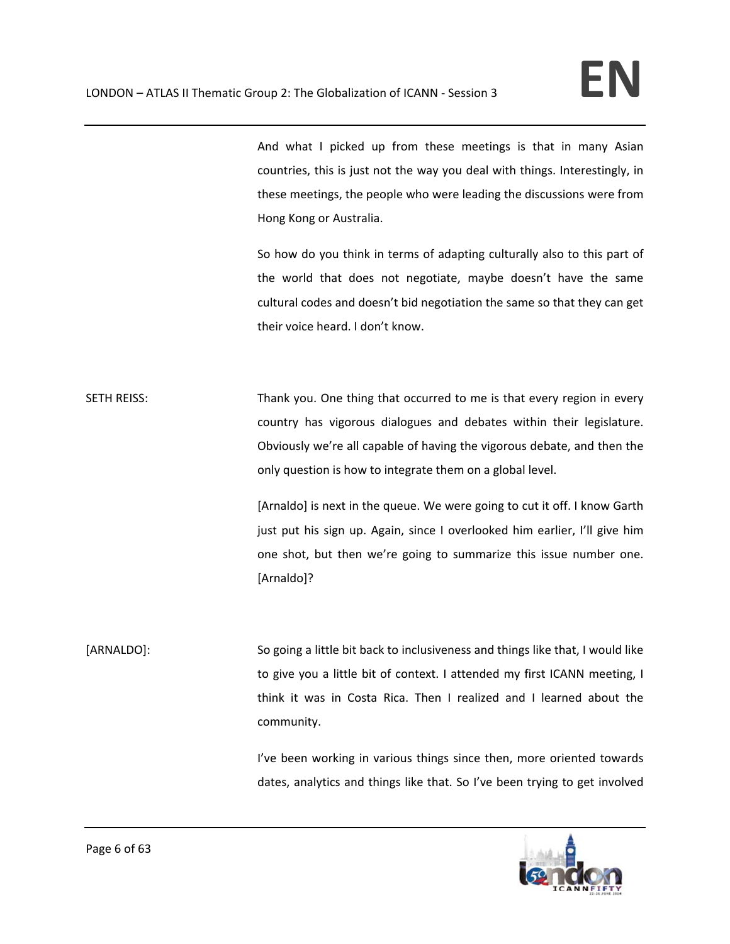And what I picked up from these meetings is that in many Asian countries, this is just not the way you deal with things. Interestingly, in these meetings, the people who were leading the discussions were from Hong Kong or Australia.

So how do you think in terms of adapting culturally also to this part of the world that does not negotiate, maybe doesn't have the same cultural codes and doesn't bid negotiation the same so that they can get their voice heard. I don't know.

SETH REISS: Thank you. One thing that occurred to me is that every region in every country has vigorous dialogues and debates within their legislature. Obviously we're all capable of having the vigorous debate, and then the only question is how to integrate them on a global level.

> [Arnaldo] is next in the queue. We were going to cut it off. I know Garth just put his sign up. Again, since I overlooked him earlier, I'll give him one shot, but then we're going to summarize this issue number one. [Arnaldo]?

[ARNALDO]: So going a little bit back to inclusiveness and things like that, I would like to give you a little bit of context. I attended my first ICANN meeting, I think it was in Costa Rica. Then I realized and I learned about the community.

> I've been working in various things since then, more oriented towards dates, analytics and things like that. So I've been trying to get involved

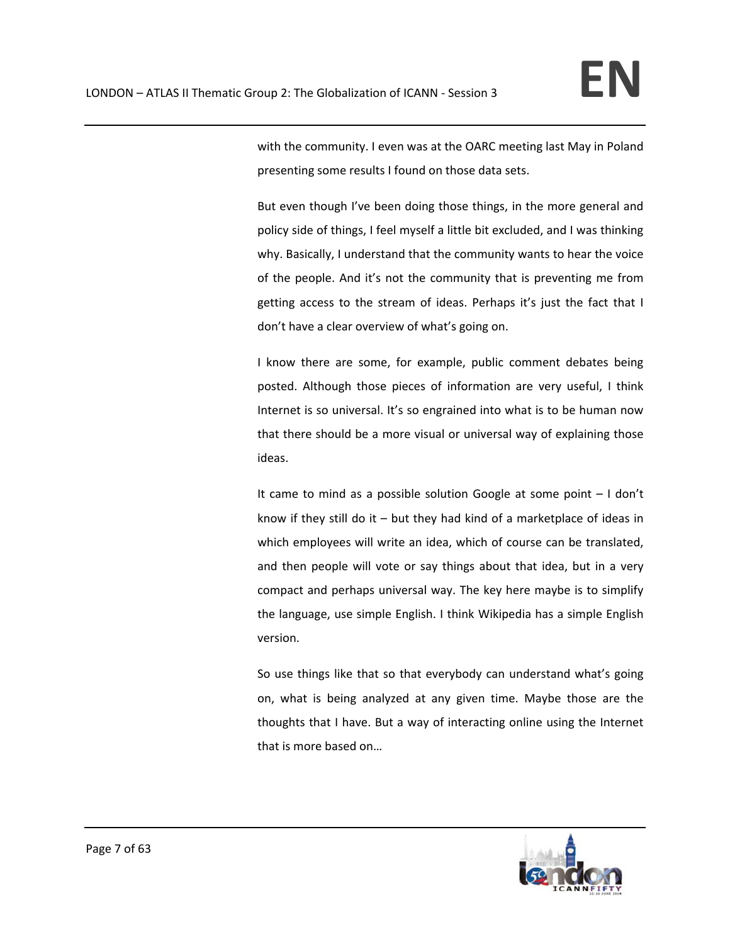with the community. I even was at the OARC meeting last May in Poland presenting some results I found on those data sets.

But even though I've been doing those things, in the more general and policy side of things, I feel myself a little bit excluded, and I was thinking why. Basically, I understand that the community wants to hear the voice of the people. And it's not the community that is preventing me from getting access to the stream of ideas. Perhaps it's just the fact that I don't have a clear overview of what's going on.

I know there are some, for example, public comment debates being posted. Although those pieces of information are very useful, I think Internet is so universal. It's so engrained into what is to be human now that there should be a more visual or universal way of explaining those ideas.

It came to mind as a possible solution Google at some point – I don't know if they still do it – but they had kind of a marketplace of ideas in which employees will write an idea, which of course can be translated, and then people will vote or say things about that idea, but in a very compact and perhaps universal way. The key here maybe is to simplify the language, use simple English. I think Wikipedia has a simple English version.

So use things like that so that everybody can understand what's going on, what is being analyzed at any given time. Maybe those are the thoughts that I have. But a way of interacting online using the Internet that is more based on…

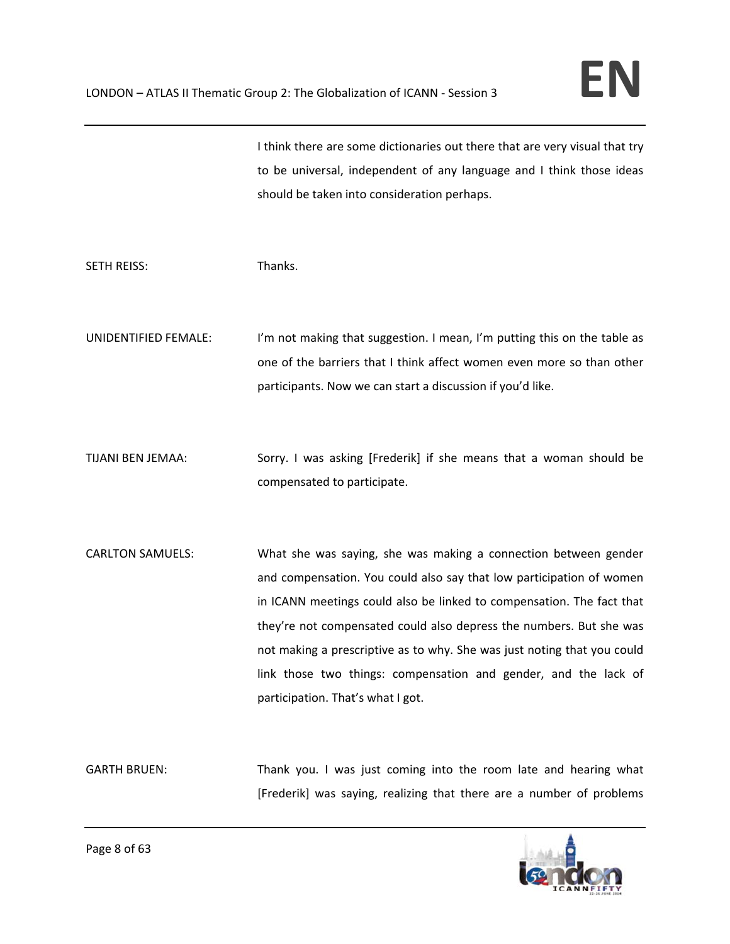I think there are some dictionaries out there that are very visual that try to be universal, independent of any language and I think those ideas should be taken into consideration perhaps.

SETH REISS: Thanks.

UNIDENTIFIED FEMALE: I'm not making that suggestion. I mean, I'm putting this on the table as one of the barriers that I think affect women even more so than other participants. Now we can start a discussion if you'd like.

TIJANI BEN JEMAA: Sorry. I was asking [Frederik] if she means that a woman should be compensated to participate.

CARLTON SAMUELS: What she was saying, she was making a connection between gender and compensation. You could also say that low participation of women in ICANN meetings could also be linked to compensation. The fact that they're not compensated could also depress the numbers. But she was not making a prescriptive as to why. She was just noting that you could link those two things: compensation and gender, and the lack of participation. That's what I got.

GARTH BRUEN: Thank you. I was just coming into the room late and hearing what [Frederik] was saying, realizing that there are a number of problems

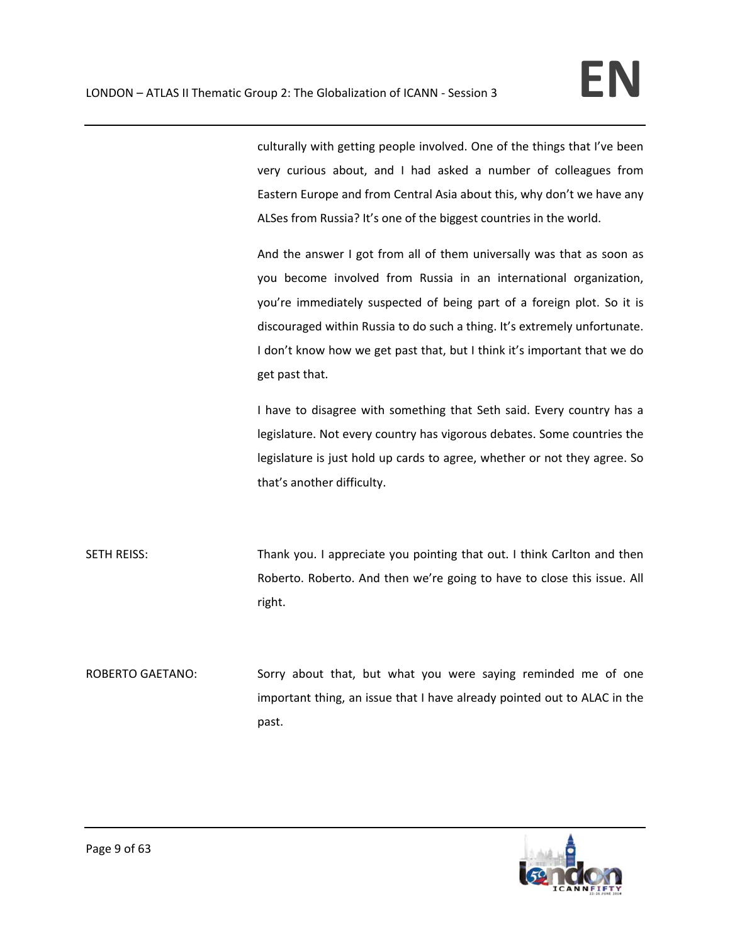culturally with getting people involved. One of the things that I've been very curious about, and I had asked a number of colleagues from Eastern Europe and from Central Asia about this, why don't we have any ALSes from Russia? It's one of the biggest countries in the world.

And the answer I got from all of them universally was that as soon as you become involved from Russia in an international organization, you're immediately suspected of being part of a foreign plot. So it is discouraged within Russia to do such a thing. It's extremely unfortunate. I don't know how we get past that, but I think it's important that we do get past that.

I have to disagree with something that Seth said. Every country has a legislature. Not every country has vigorous debates. Some countries the legislature is just hold up cards to agree, whether or not they agree. So that's another difficulty.

SETH REISS: Thank you. I appreciate you pointing that out. I think Carlton and then Roberto. Roberto. And then we're going to have to close this issue. All right.

ROBERTO GAETANO: Sorry about that, but what you were saying reminded me of one important thing, an issue that I have already pointed out to ALAC in the past.

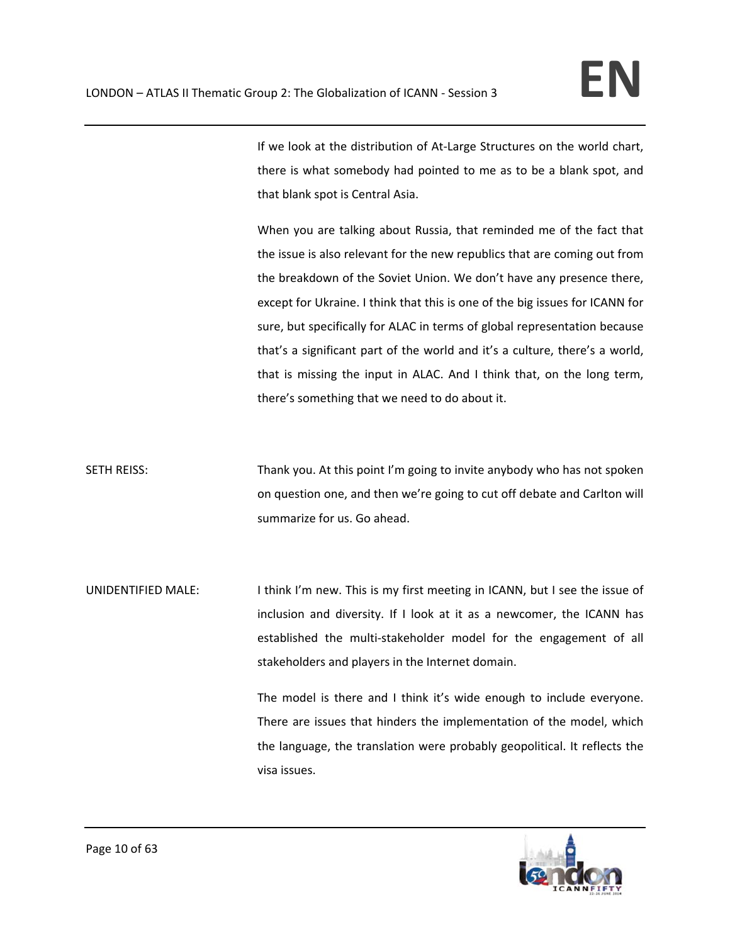If we look at the distribution of At‐Large Structures on the world chart, there is what somebody had pointed to me as to be a blank spot, and that blank spot is Central Asia.

When you are talking about Russia, that reminded me of the fact that the issue is also relevant for the new republics that are coming out from the breakdown of the Soviet Union. We don't have any presence there, except for Ukraine. I think that this is one of the big issues for ICANN for sure, but specifically for ALAC in terms of global representation because that's a significant part of the world and it's a culture, there's a world, that is missing the input in ALAC. And I think that, on the long term, there's something that we need to do about it.

SETH REISS: Thank you. At this point I'm going to invite anybody who has not spoken on question one, and then we're going to cut off debate and Carlton will summarize for us. Go ahead.

UNIDENTIFIED MALE: I think I'm new. This is my first meeting in ICANN, but I see the issue of inclusion and diversity. If I look at it as a newcomer, the ICANN has established the multi-stakeholder model for the engagement of all stakeholders and players in the Internet domain.

> The model is there and I think it's wide enough to include everyone. There are issues that hinders the implementation of the model, which the language, the translation were probably geopolitical. It reflects the visa issues.

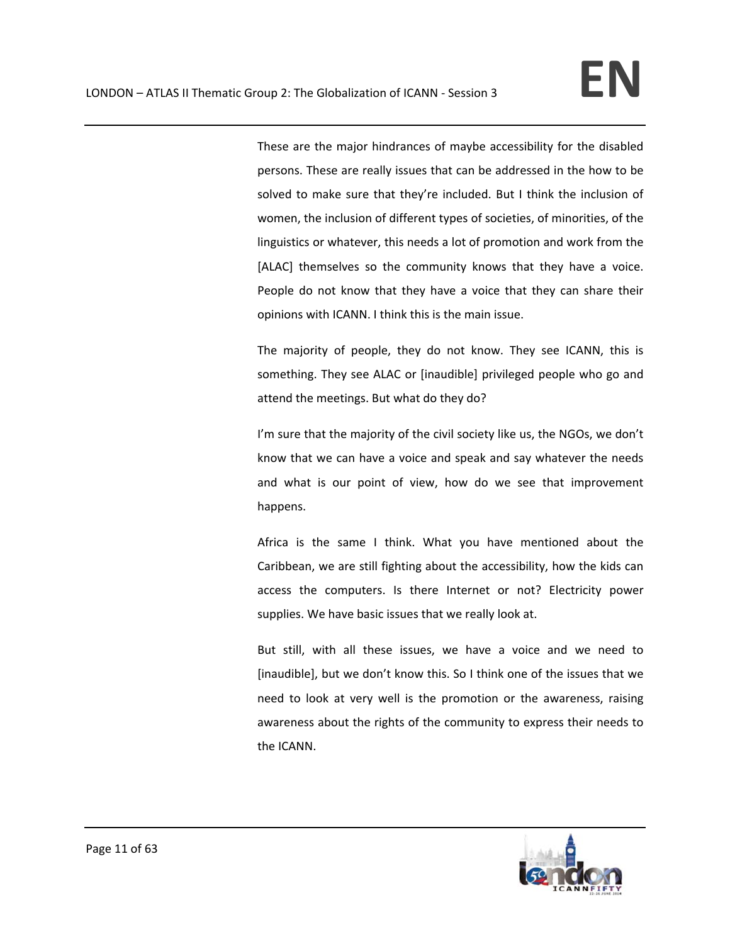These are the major hindrances of maybe accessibility for the disabled persons. These are really issues that can be addressed in the how to be solved to make sure that they're included. But I think the inclusion of women, the inclusion of different types of societies, of minorities, of the linguistics or whatever, this needs a lot of promotion and work from the [ALAC] themselves so the community knows that they have a voice. People do not know that they have a voice that they can share their opinions with ICANN. I think this is the main issue.

The majority of people, they do not know. They see ICANN, this is something. They see ALAC or [inaudible] privileged people who go and attend the meetings. But what do they do?

I'm sure that the majority of the civil society like us, the NGOs, we don't know that we can have a voice and speak and say whatever the needs and what is our point of view, how do we see that improvement happens.

Africa is the same I think. What you have mentioned about the Caribbean, we are still fighting about the accessibility, how the kids can access the computers. Is there Internet or not? Electricity power supplies. We have basic issues that we really look at.

But still, with all these issues, we have a voice and we need to [inaudible], but we don't know this. So I think one of the issues that we need to look at very well is the promotion or the awareness, raising awareness about the rights of the community to express their needs to the ICANN.

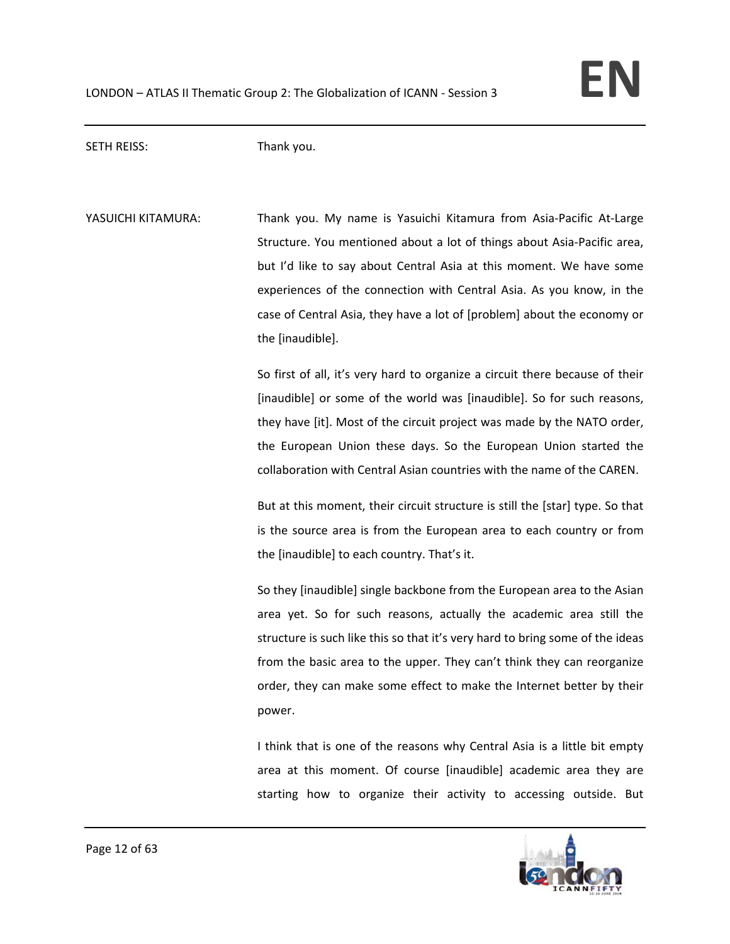SETH REISS: Thank you.

YASUICHI KITAMURA: Thank you. My name is Yasuichi Kitamura from Asia-Pacific At-Large Structure. You mentioned about a lot of things about Asia‐Pacific area, but I'd like to say about Central Asia at this moment. We have some experiences of the connection with Central Asia. As you know, in the case of Central Asia, they have a lot of [problem] about the economy or the [inaudible].

> So first of all, it's very hard to organize a circuit there because of their [inaudible] or some of the world was [inaudible]. So for such reasons, they have [it]. Most of the circuit project was made by the NATO order, the European Union these days. So the European Union started the collaboration with Central Asian countries with the name of the CAREN.

> But at this moment, their circuit structure is still the [star] type. So that is the source area is from the European area to each country or from the [inaudible] to each country. That's it.

> So they [inaudible] single backbone from the European area to the Asian area yet. So for such reasons, actually the academic area still the structure is such like this so that it's very hard to bring some of the ideas from the basic area to the upper. They can't think they can reorganize order, they can make some effect to make the Internet better by their power.

> I think that is one of the reasons why Central Asia is a little bit empty area at this moment. Of course [inaudible] academic area they are starting how to organize their activity to accessing outside. But

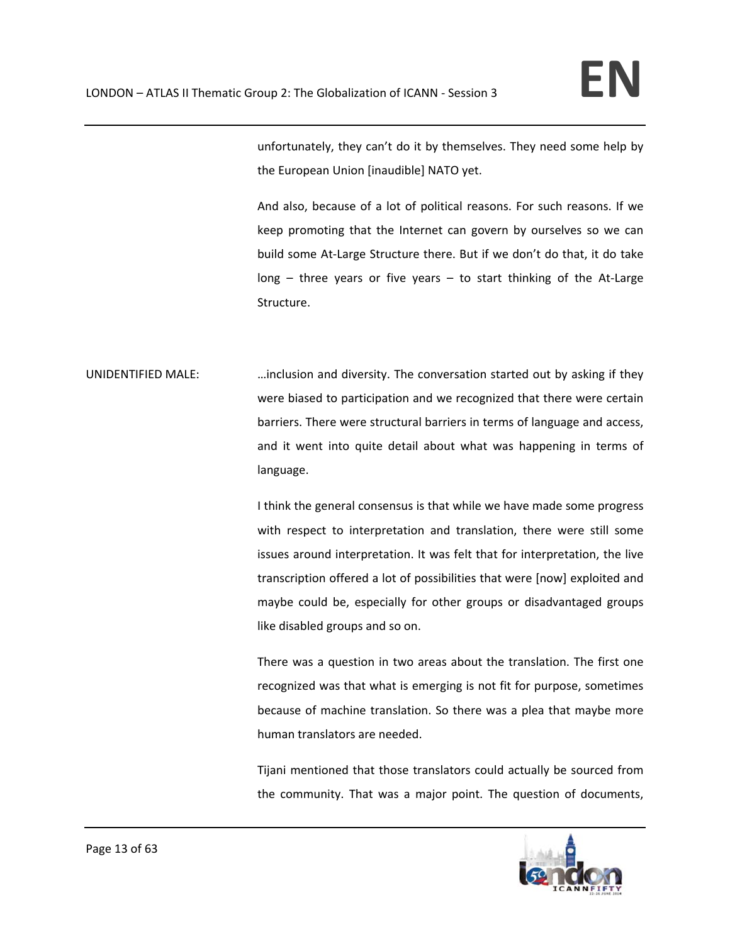unfortunately, they can't do it by themselves. They need some help by the European Union [inaudible] NATO yet.

And also, because of a lot of political reasons. For such reasons. If we keep promoting that the Internet can govern by ourselves so we can build some At‐Large Structure there. But if we don't do that, it do take  $long - three years$  or five years  $-$  to start thinking of the At-Large Structure.

UNIDENTIFIED MALE: …inclusion and diversity. The conversation started out by asking if they were biased to participation and we recognized that there were certain barriers. There were structural barriers in terms of language and access, and it went into quite detail about what was happening in terms of language.

> I think the general consensus is that while we have made some progress with respect to interpretation and translation, there were still some issues around interpretation. It was felt that for interpretation, the live transcription offered a lot of possibilities that were [now] exploited and maybe could be, especially for other groups or disadvantaged groups like disabled groups and so on.

> There was a question in two areas about the translation. The first one recognized was that what is emerging is not fit for purpose, sometimes because of machine translation. So there was a plea that maybe more human translators are needed.

> Tijani mentioned that those translators could actually be sourced from the community. That was a major point. The question of documents,

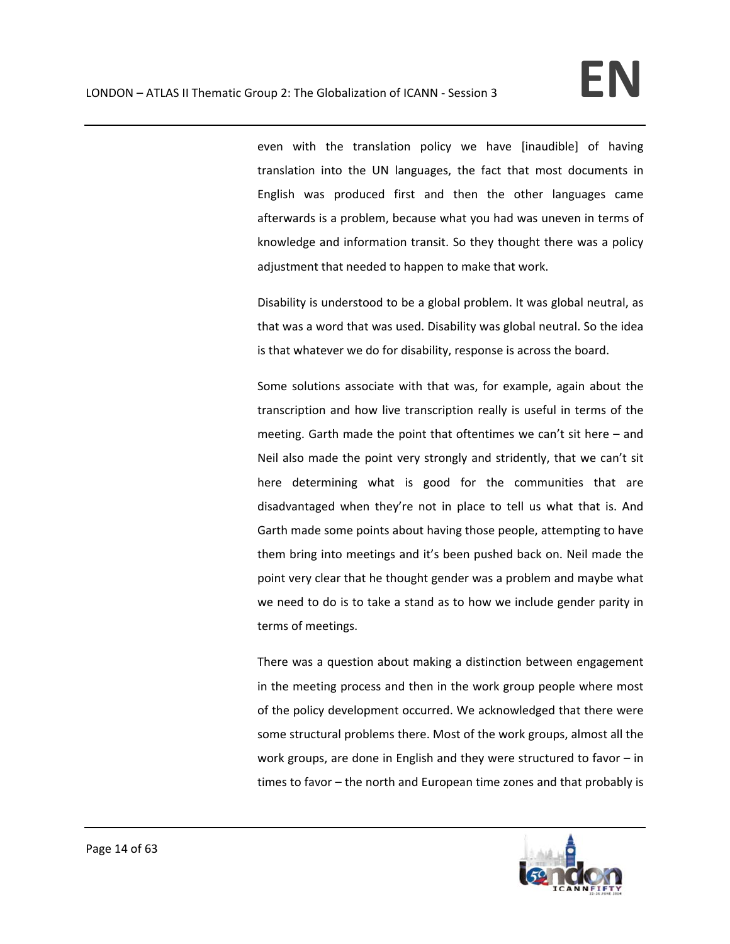even with the translation policy we have [inaudible] of having translation into the UN languages, the fact that most documents in English was produced first and then the other languages came afterwards is a problem, because what you had was uneven in terms of knowledge and information transit. So they thought there was a policy adjustment that needed to happen to make that work.

Disability is understood to be a global problem. It was global neutral, as that was a word that was used. Disability was global neutral. So the idea is that whatever we do for disability, response is across the board.

Some solutions associate with that was, for example, again about the transcription and how live transcription really is useful in terms of the meeting. Garth made the point that oftentimes we can't sit here – and Neil also made the point very strongly and stridently, that we can't sit here determining what is good for the communities that are disadvantaged when they're not in place to tell us what that is. And Garth made some points about having those people, attempting to have them bring into meetings and it's been pushed back on. Neil made the point very clear that he thought gender was a problem and maybe what we need to do is to take a stand as to how we include gender parity in terms of meetings.

There was a question about making a distinction between engagement in the meeting process and then in the work group people where most of the policy development occurred. We acknowledged that there were some structural problems there. Most of the work groups, almost all the work groups, are done in English and they were structured to favor – in times to favor – the north and European time zones and that probably is

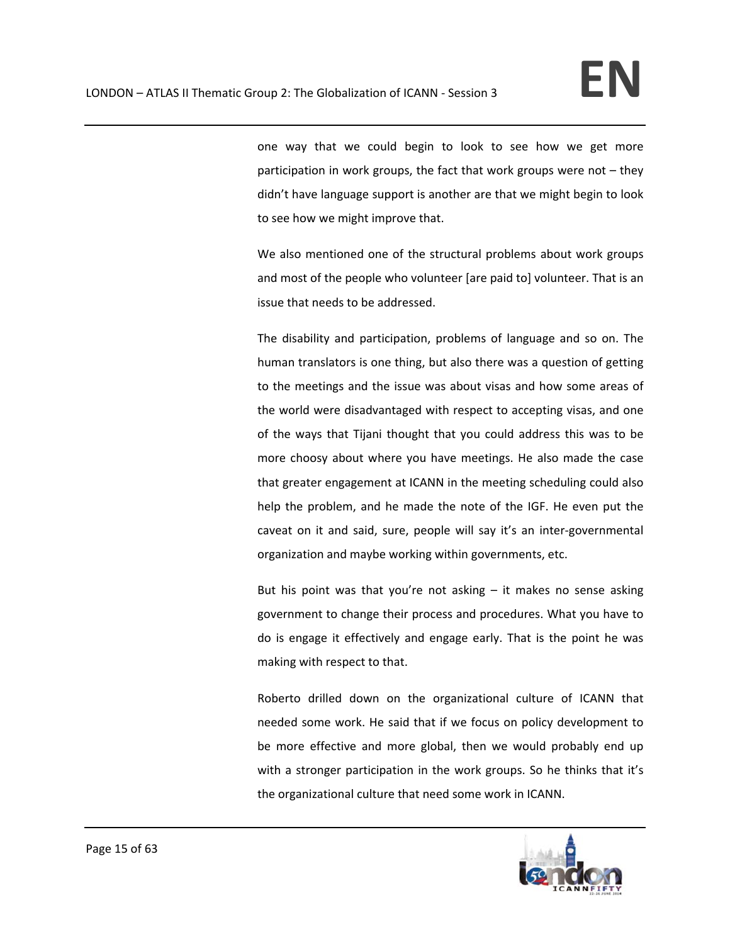one way that we could begin to look to see how we get more participation in work groups, the fact that work groups were not – they didn't have language support is another are that we might begin to look to see how we might improve that.

We also mentioned one of the structural problems about work groups and most of the people who volunteer [are paid to] volunteer. That is an issue that needs to be addressed.

The disability and participation, problems of language and so on. The human translators is one thing, but also there was a question of getting to the meetings and the issue was about visas and how some areas of the world were disadvantaged with respect to accepting visas, and one of the ways that Tijani thought that you could address this was to be more choosy about where you have meetings. He also made the case that greater engagement at ICANN in the meeting scheduling could also help the problem, and he made the note of the IGF. He even put the caveat on it and said, sure, people will say it's an inter‐governmental organization and maybe working within governments, etc.

But his point was that you're not asking  $-$  it makes no sense asking government to change their process and procedures. What you have to do is engage it effectively and engage early. That is the point he was making with respect to that.

Roberto drilled down on the organizational culture of ICANN that needed some work. He said that if we focus on policy development to be more effective and more global, then we would probably end up with a stronger participation in the work groups. So he thinks that it's the organizational culture that need some work in ICANN.

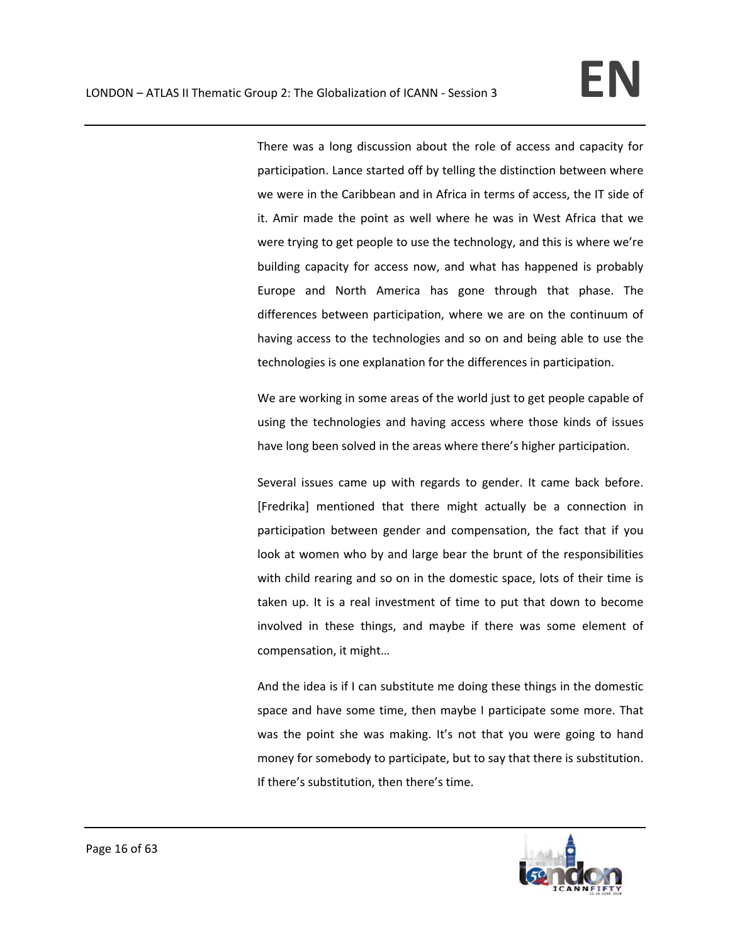There was a long discussion about the role of access and capacity for participation. Lance started off by telling the distinction between where we were in the Caribbean and in Africa in terms of access, the IT side of it. Amir made the point as well where he was in West Africa that we were trying to get people to use the technology, and this is where we're building capacity for access now, and what has happened is probably Europe and North America has gone through that phase. The differences between participation, where we are on the continuum of having access to the technologies and so on and being able to use the technologies is one explanation for the differences in participation.

We are working in some areas of the world just to get people capable of using the technologies and having access where those kinds of issues have long been solved in the areas where there's higher participation.

Several issues came up with regards to gender. It came back before. [Fredrika] mentioned that there might actually be a connection in participation between gender and compensation, the fact that if you look at women who by and large bear the brunt of the responsibilities with child rearing and so on in the domestic space, lots of their time is taken up. It is a real investment of time to put that down to become involved in these things, and maybe if there was some element of compensation, it might…

And the idea is if I can substitute me doing these things in the domestic space and have some time, then maybe I participate some more. That was the point she was making. It's not that you were going to hand money for somebody to participate, but to say that there is substitution. If there's substitution, then there's time.

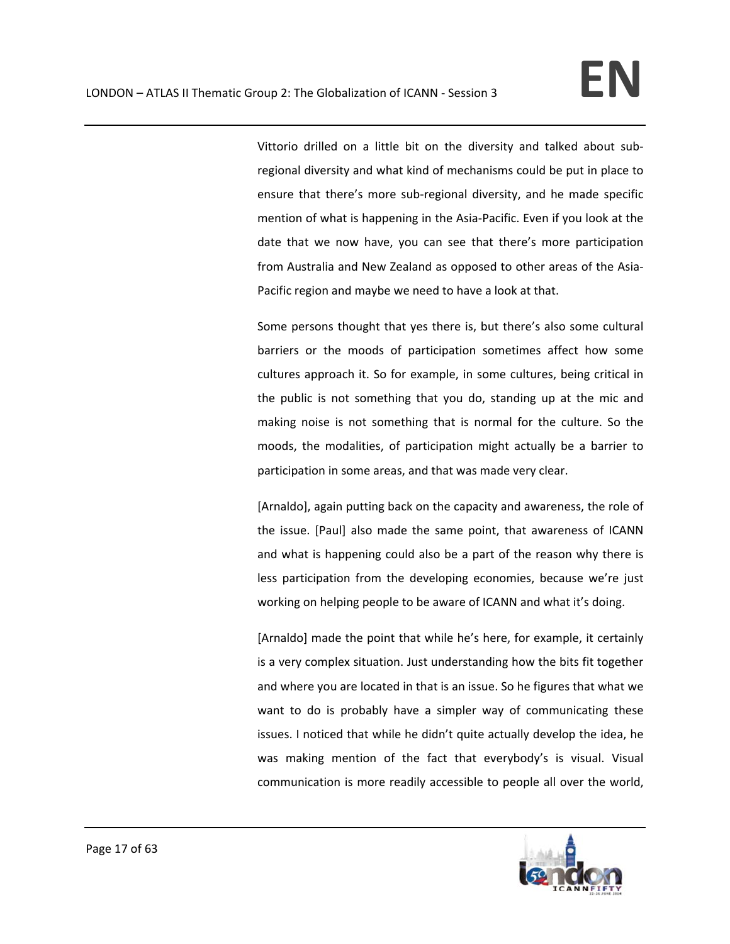Vittorio drilled on a little bit on the diversity and talked about sub‐ regional diversity and what kind of mechanisms could be put in place to ensure that there's more sub-regional diversity, and he made specific mention of what is happening in the Asia‐Pacific. Even if you look at the date that we now have, you can see that there's more participation from Australia and New Zealand as opposed to other areas of the Asia‐ Pacific region and maybe we need to have a look at that.

Some persons thought that yes there is, but there's also some cultural barriers or the moods of participation sometimes affect how some cultures approach it. So for example, in some cultures, being critical in the public is not something that you do, standing up at the mic and making noise is not something that is normal for the culture. So the moods, the modalities, of participation might actually be a barrier to participation in some areas, and that was made very clear.

[Arnaldo], again putting back on the capacity and awareness, the role of the issue. [Paul] also made the same point, that awareness of ICANN and what is happening could also be a part of the reason why there is less participation from the developing economies, because we're just working on helping people to be aware of ICANN and what it's doing.

[Arnaldo] made the point that while he's here, for example, it certainly is a very complex situation. Just understanding how the bits fit together and where you are located in that is an issue. So he figures that what we want to do is probably have a simpler way of communicating these issues. I noticed that while he didn't quite actually develop the idea, he was making mention of the fact that everybody's is visual. Visual communication is more readily accessible to people all over the world,

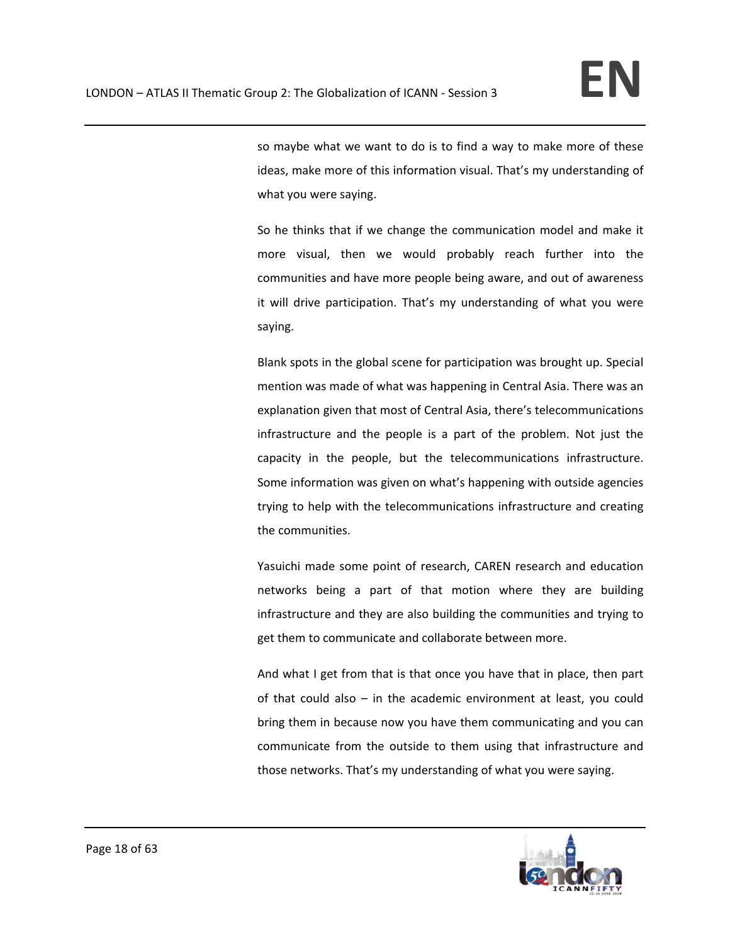so maybe what we want to do is to find a way to make more of these ideas, make more of this information visual. That's my understanding of what you were saying.

So he thinks that if we change the communication model and make it more visual, then we would probably reach further into the communities and have more people being aware, and out of awareness it will drive participation. That's my understanding of what you were saying.

Blank spots in the global scene for participation was brought up. Special mention was made of what was happening in Central Asia. There was an explanation given that most of Central Asia, there's telecommunications infrastructure and the people is a part of the problem. Not just the capacity in the people, but the telecommunications infrastructure. Some information was given on what's happening with outside agencies trying to help with the telecommunications infrastructure and creating the communities.

Yasuichi made some point of research, CAREN research and education networks being a part of that motion where they are building infrastructure and they are also building the communities and trying to get them to communicate and collaborate between more.

And what I get from that is that once you have that in place, then part of that could also – in the academic environment at least, you could bring them in because now you have them communicating and you can communicate from the outside to them using that infrastructure and those networks. That's my understanding of what you were saying.

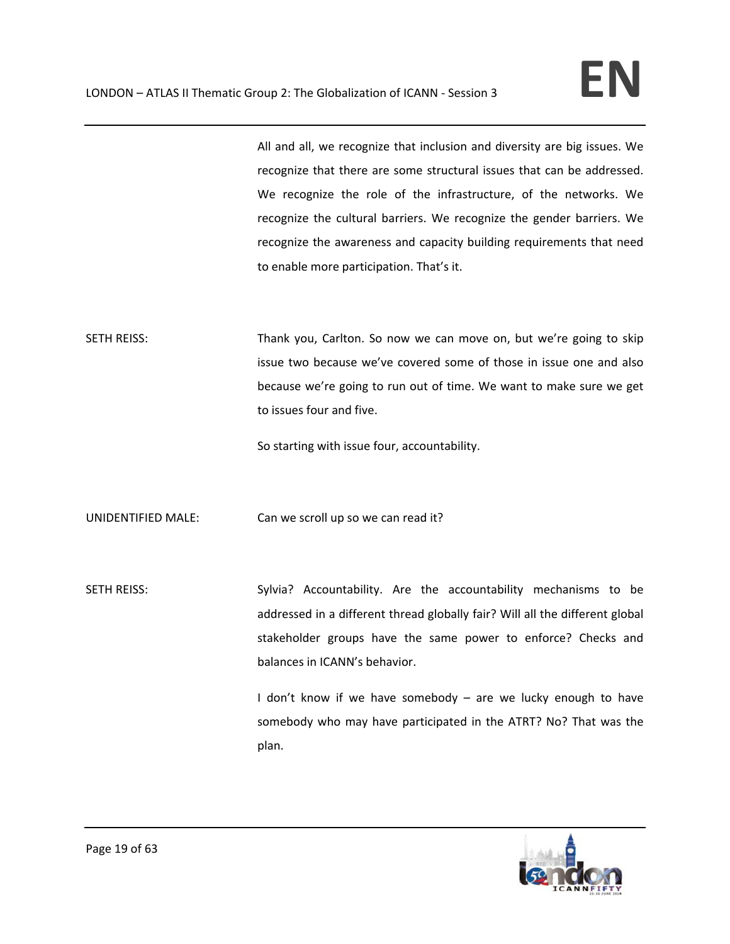All and all, we recognize that inclusion and diversity are big issues. We recognize that there are some structural issues that can be addressed. We recognize the role of the infrastructure, of the networks. We recognize the cultural barriers. We recognize the gender barriers. We recognize the awareness and capacity building requirements that need to enable more participation. That's it.

SETH REISS: Thank you, Carlton. So now we can move on, but we're going to skip issue two because we've covered some of those in issue one and also because we're going to run out of time. We want to make sure we get to issues four and five.

So starting with issue four, accountability.

UNIDENTIFIED MALE: Can we scroll up so we can read it?

SETH REISS: Sylvia? Accountability. Are the accountability mechanisms to be addressed in a different thread globally fair? Will all the different global stakeholder groups have the same power to enforce? Checks and balances in ICANN's behavior.

> I don't know if we have somebody – are we lucky enough to have somebody who may have participated in the ATRT? No? That was the plan.

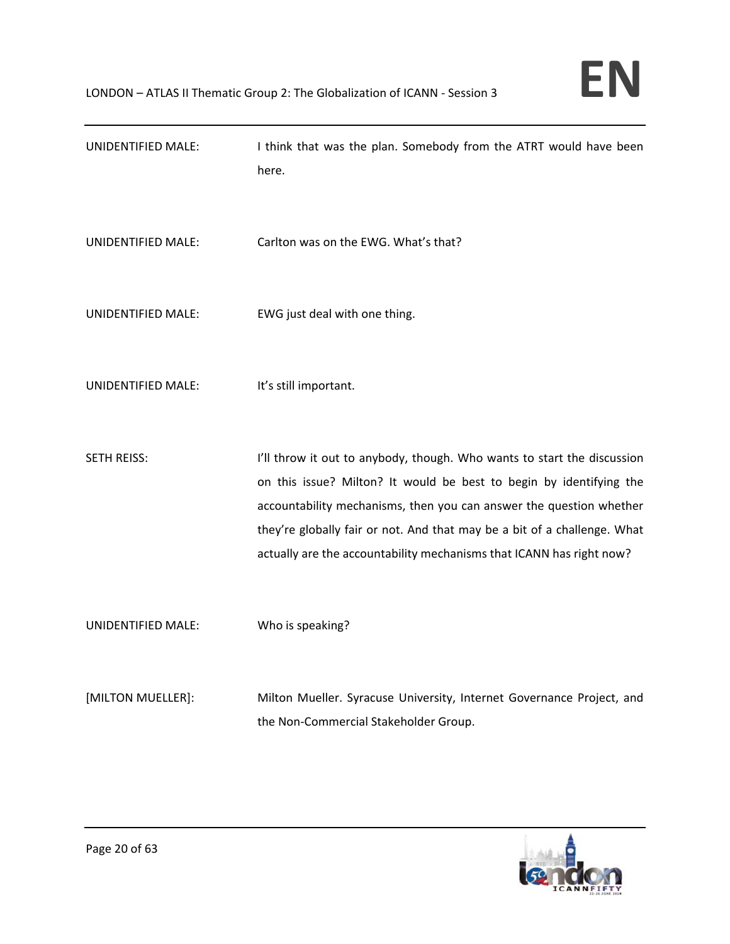| UNIDENTIFIED MALE: | I think that was the plan. Somebody from the ATRT would have been<br>here.                                                                                                                                                                                                                                                                                                |
|--------------------|---------------------------------------------------------------------------------------------------------------------------------------------------------------------------------------------------------------------------------------------------------------------------------------------------------------------------------------------------------------------------|
| UNIDENTIFIED MALE: | Carlton was on the EWG. What's that?                                                                                                                                                                                                                                                                                                                                      |
| UNIDENTIFIED MALE: | EWG just deal with one thing.                                                                                                                                                                                                                                                                                                                                             |
| UNIDENTIFIED MALE: | It's still important.                                                                                                                                                                                                                                                                                                                                                     |
| SETH REISS:        | I'll throw it out to anybody, though. Who wants to start the discussion<br>on this issue? Milton? It would be best to begin by identifying the<br>accountability mechanisms, then you can answer the question whether<br>they're globally fair or not. And that may be a bit of a challenge. What<br>actually are the accountability mechanisms that ICANN has right now? |
| UNIDENTIFIED MALE: | Who is speaking?                                                                                                                                                                                                                                                                                                                                                          |
| [MILTON MUELLER]:  | Milton Mueller. Syracuse University, Internet Governance Project, and<br>the Non-Commercial Stakeholder Group.                                                                                                                                                                                                                                                            |

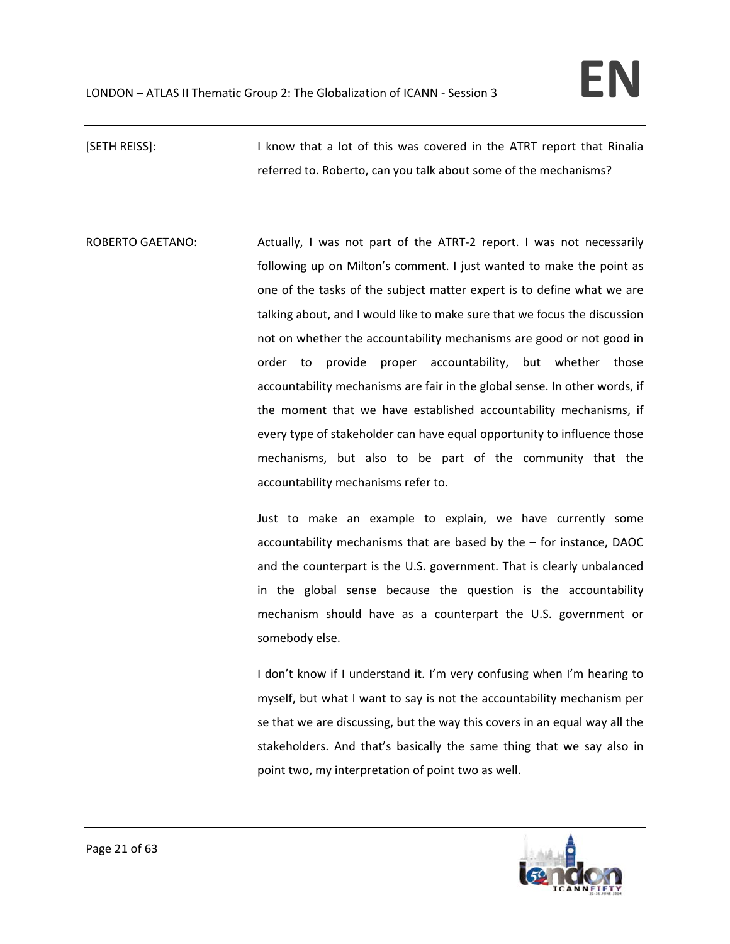[SETH REISS]: I know that a lot of this was covered in the ATRT report that Rinalia referred to. Roberto, can you talk about some of the mechanisms?

ROBERTO GAETANO: Actually, I was not part of the ATRT-2 report. I was not necessarily following up on Milton's comment. I just wanted to make the point as one of the tasks of the subject matter expert is to define what we are talking about, and I would like to make sure that we focus the discussion not on whether the accountability mechanisms are good or not good in order to provide proper accountability, but whether those accountability mechanisms are fair in the global sense. In other words, if the moment that we have established accountability mechanisms, if every type of stakeholder can have equal opportunity to influence those mechanisms, but also to be part of the community that the accountability mechanisms refer to.

> Just to make an example to explain, we have currently some accountability mechanisms that are based by the – for instance, DAOC and the counterpart is the U.S. government. That is clearly unbalanced in the global sense because the question is the accountability mechanism should have as a counterpart the U.S. government or somebody else.

> I don't know if I understand it. I'm very confusing when I'm hearing to myself, but what I want to say is not the accountability mechanism per se that we are discussing, but the way this covers in an equal way all the stakeholders. And that's basically the same thing that we say also in point two, my interpretation of point two as well.

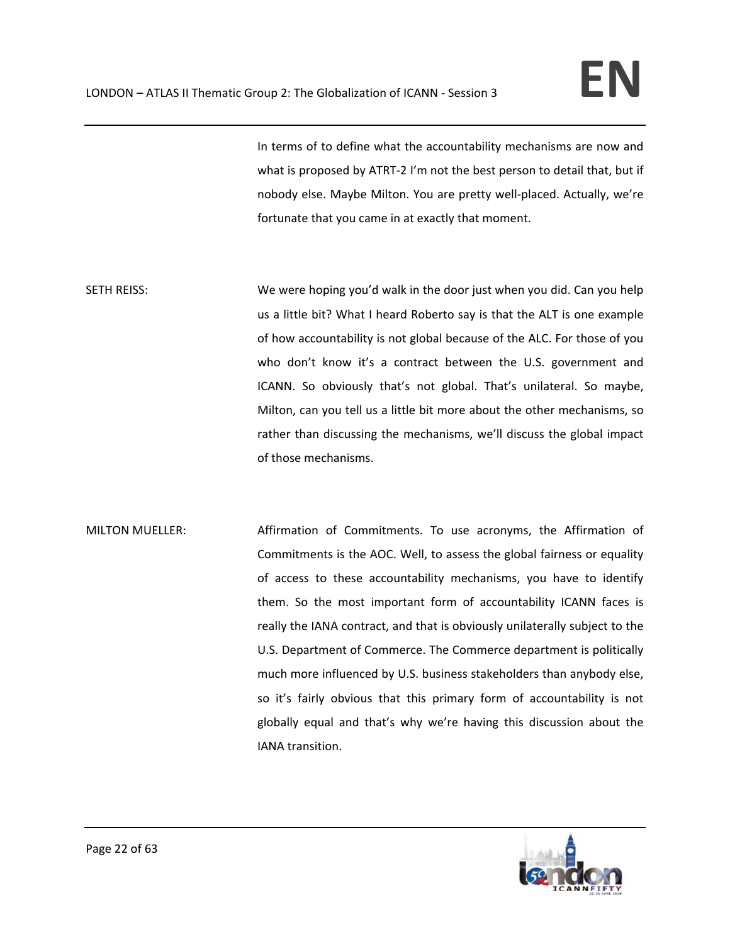In terms of to define what the accountability mechanisms are now and what is proposed by ATRT-2 I'm not the best person to detail that, but if nobody else. Maybe Milton. You are pretty well‐placed. Actually, we're fortunate that you came in at exactly that moment.

SETH REISS: We were hoping you'd walk in the door just when you did. Can you help us a little bit? What I heard Roberto say is that the ALT is one example of how accountability is not global because of the ALC. For those of you who don't know it's a contract between the U.S. government and ICANN. So obviously that's not global. That's unilateral. So maybe, Milton, can you tell us a little bit more about the other mechanisms, so rather than discussing the mechanisms, we'll discuss the global impact of those mechanisms.

MILTON MUELLER: Affirmation of Commitments. To use acronyms, the Affirmation of Commitments is the AOC. Well, to assess the global fairness or equality of access to these accountability mechanisms, you have to identify them. So the most important form of accountability ICANN faces is really the IANA contract, and that is obviously unilaterally subject to the U.S. Department of Commerce. The Commerce department is politically much more influenced by U.S. business stakeholders than anybody else, so it's fairly obvious that this primary form of accountability is not globally equal and that's why we're having this discussion about the IANA transition.

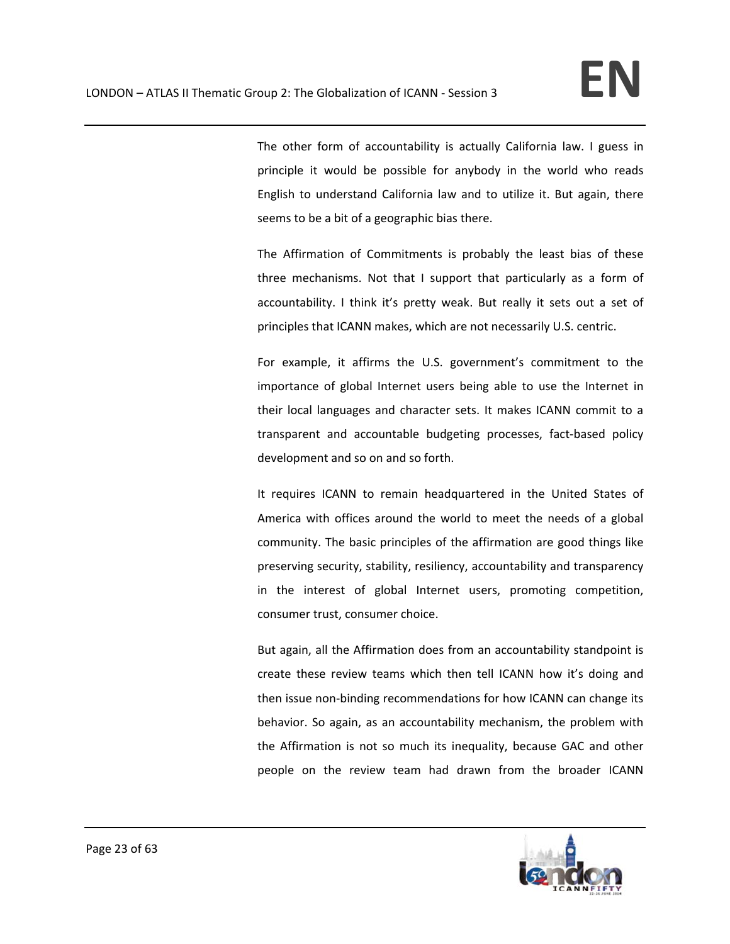The other form of accountability is actually California law. I guess in principle it would be possible for anybody in the world who reads English to understand California law and to utilize it. But again, there seems to be a bit of a geographic bias there.

The Affirmation of Commitments is probably the least bias of these three mechanisms. Not that I support that particularly as a form of accountability. I think it's pretty weak. But really it sets out a set of principles that ICANN makes, which are not necessarily U.S. centric.

For example, it affirms the U.S. government's commitment to the importance of global Internet users being able to use the Internet in their local languages and character sets. It makes ICANN commit to a transparent and accountable budgeting processes, fact-based policy development and so on and so forth.

It requires ICANN to remain headquartered in the United States of America with offices around the world to meet the needs of a global community. The basic principles of the affirmation are good things like preserving security, stability, resiliency, accountability and transparency in the interest of global Internet users, promoting competition, consumer trust, consumer choice.

But again, all the Affirmation does from an accountability standpoint is create these review teams which then tell ICANN how it's doing and then issue non‐binding recommendations for how ICANN can change its behavior. So again, as an accountability mechanism, the problem with the Affirmation is not so much its inequality, because GAC and other people on the review team had drawn from the broader ICANN

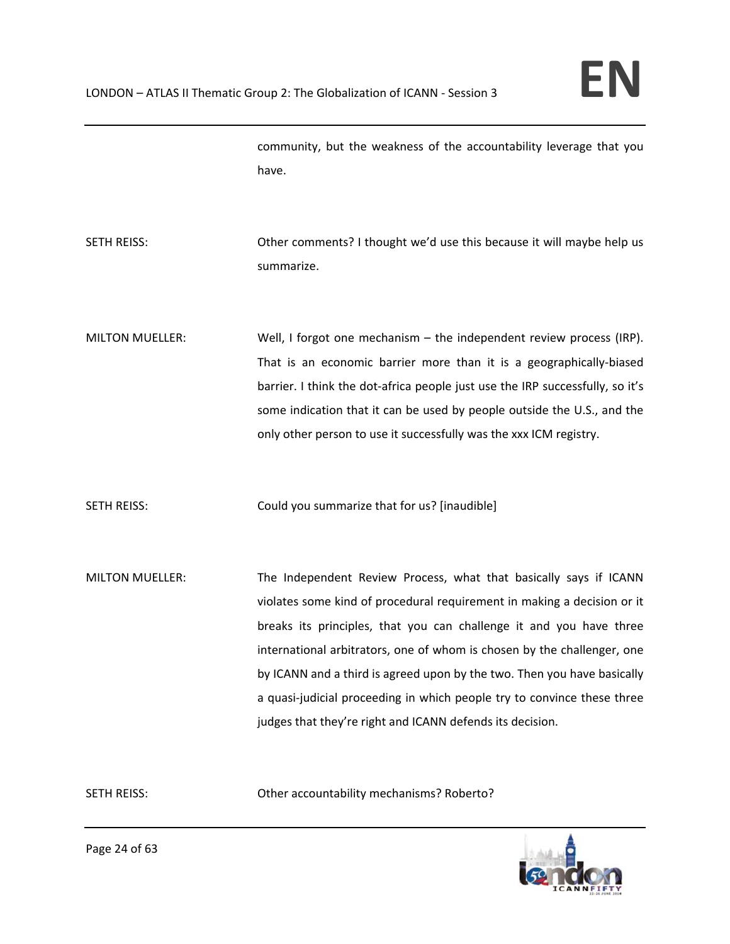community, but the weakness of the accountability leverage that you have.

- SETH REISS: Other comments? I thought we'd use this because it will maybe help us summarize.
- MILTON MUELLER: Well, I forgot one mechanism the independent review process (IRP). That is an economic barrier more than it is a geographically‐biased barrier. I think the dot-africa people just use the IRP successfully, so it's some indication that it can be used by people outside the U.S., and the only other person to use it successfully was the xxx ICM registry.
- SETH REISS: Could you summarize that for us? [inaudible]
- MILTON MUELLER: The Independent Review Process, what that basically says if ICANN violates some kind of procedural requirement in making a decision or it breaks its principles, that you can challenge it and you have three international arbitrators, one of whom is chosen by the challenger, one by ICANN and a third is agreed upon by the two. Then you have basically a quasi‐judicial proceeding in which people try to convince these three judges that they're right and ICANN defends its decision.

SETH REISS: Other accountability mechanisms? Roberto?

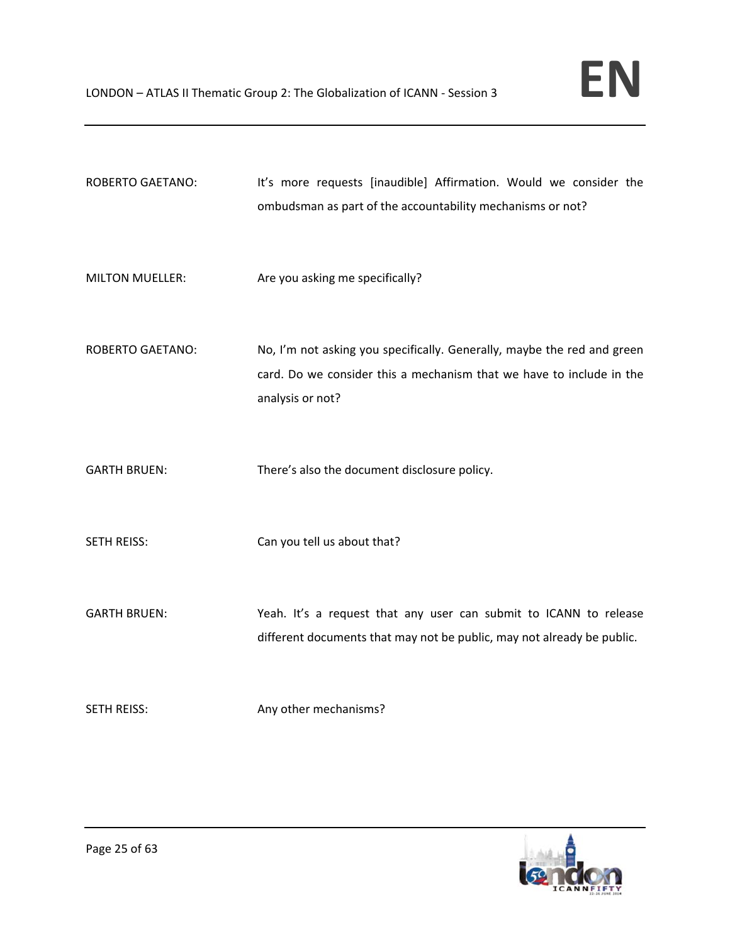| <b>ROBERTO GAETANO:</b> | It's more requests [inaudible] Affirmation. Would we consider the<br>ombudsman as part of the accountability mechanisms or not?                                     |
|-------------------------|---------------------------------------------------------------------------------------------------------------------------------------------------------------------|
| <b>MILTON MUELLER:</b>  | Are you asking me specifically?                                                                                                                                     |
| <b>ROBERTO GAETANO:</b> | No, I'm not asking you specifically. Generally, maybe the red and green<br>card. Do we consider this a mechanism that we have to include in the<br>analysis or not? |
| <b>GARTH BRUEN:</b>     | There's also the document disclosure policy.                                                                                                                        |
| SETH REISS:             | Can you tell us about that?                                                                                                                                         |
| <b>GARTH BRUEN:</b>     | Yeah. It's a request that any user can submit to ICANN to release<br>different documents that may not be public, may not already be public.                         |
| <b>SETH REISS:</b>      | Any other mechanisms?                                                                                                                                               |

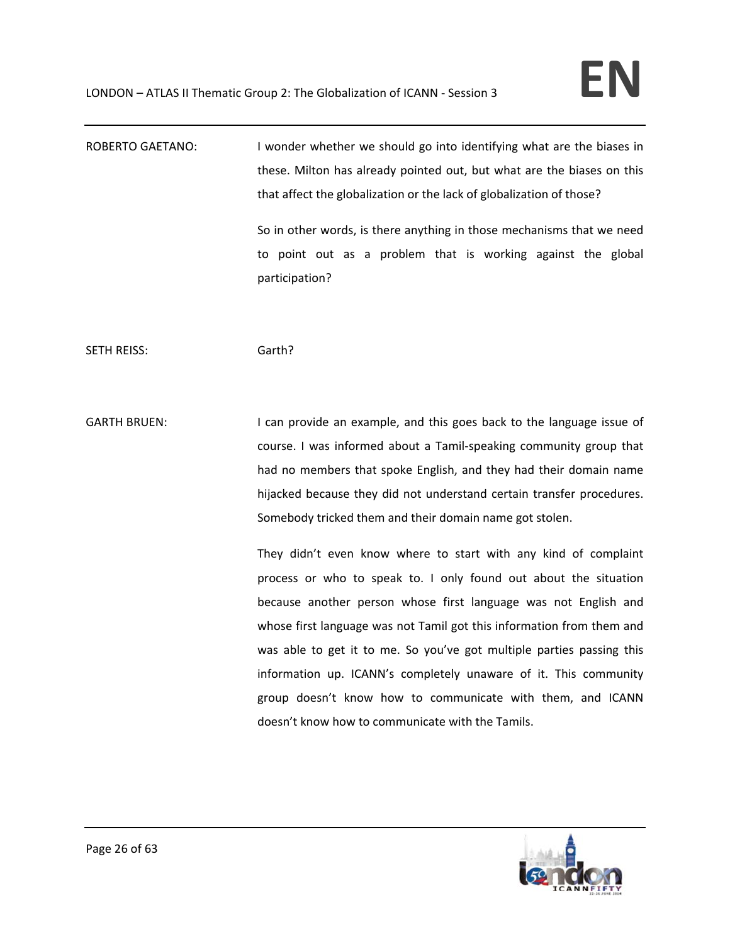ROBERTO GAETANO: I wonder whether we should go into identifying what are the biases in these. Milton has already pointed out, but what are the biases on this that affect the globalization or the lack of globalization of those? So in other words, is there anything in those mechanisms that we need

to point out as a problem that is working against the global participation?

SETH REISS: Garth?

GARTH BRUEN: I can provide an example, and this goes back to the language issue of course. I was informed about a Tamil‐speaking community group that had no members that spoke English, and they had their domain name hijacked because they did not understand certain transfer procedures. Somebody tricked them and their domain name got stolen.

> They didn't even know where to start with any kind of complaint process or who to speak to. I only found out about the situation because another person whose first language was not English and whose first language was not Tamil got this information from them and was able to get it to me. So you've got multiple parties passing this information up. ICANN's completely unaware of it. This community group doesn't know how to communicate with them, and ICANN doesn't know how to communicate with the Tamils.

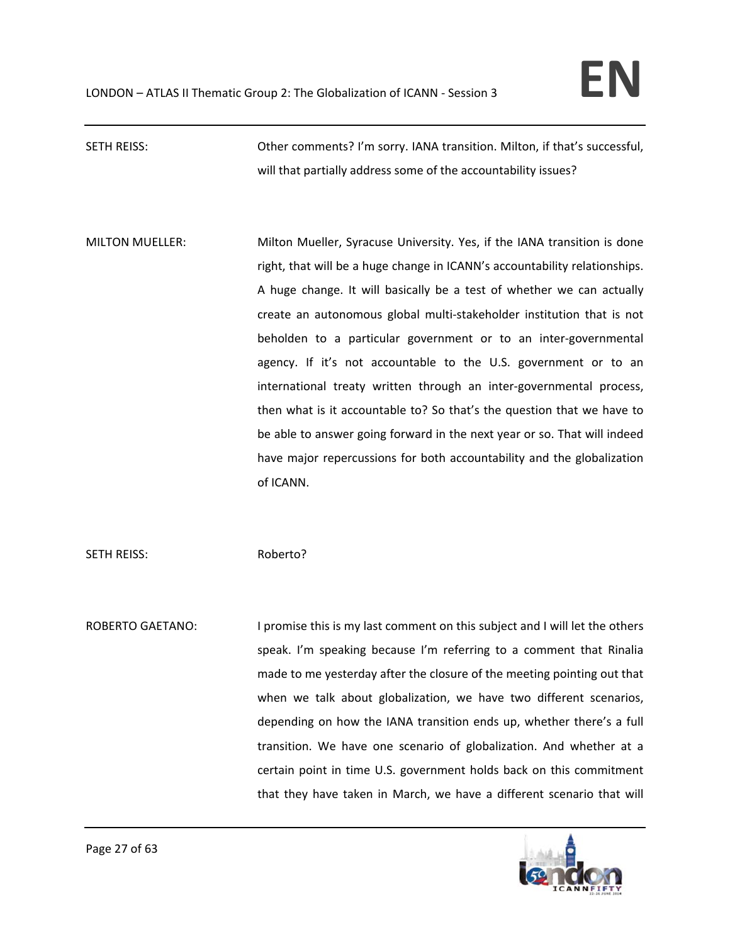# SETH REISS: Other comments? I'm sorry. IANA transition. Milton, if that's successful, will that partially address some of the accountability issues?

MILTON MUELLER: Milton Mueller, Syracuse University. Yes, if the IANA transition is done right, that will be a huge change in ICANN's accountability relationships. A huge change. It will basically be a test of whether we can actually create an autonomous global multi‐stakeholder institution that is not beholden to a particular government or to an inter‐governmental agency. If it's not accountable to the U.S. government or to an international treaty written through an inter‐governmental process, then what is it accountable to? So that's the question that we have to be able to answer going forward in the next year or so. That will indeed have major repercussions for both accountability and the globalization of ICANN.

SETH REISS: Roberto?

ROBERTO GAETANO: I promise this is my last comment on this subject and I will let the others speak. I'm speaking because I'm referring to a comment that Rinalia made to me yesterday after the closure of the meeting pointing out that when we talk about globalization, we have two different scenarios, depending on how the IANA transition ends up, whether there's a full transition. We have one scenario of globalization. And whether at a certain point in time U.S. government holds back on this commitment that they have taken in March, we have a different scenario that will

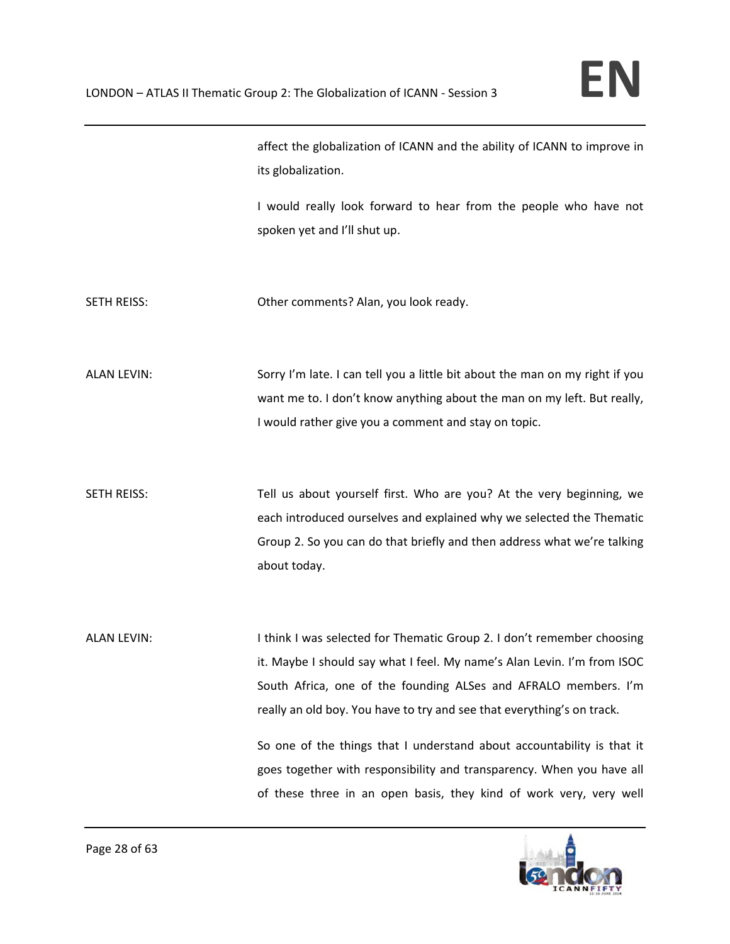|                    | affect the globalization of ICANN and the ability of ICANN to improve in<br>its globalization.                                                                                                                                                                                                                                                                                                                                                                                                                          |
|--------------------|-------------------------------------------------------------------------------------------------------------------------------------------------------------------------------------------------------------------------------------------------------------------------------------------------------------------------------------------------------------------------------------------------------------------------------------------------------------------------------------------------------------------------|
|                    | I would really look forward to hear from the people who have not<br>spoken yet and I'll shut up.                                                                                                                                                                                                                                                                                                                                                                                                                        |
| SETH REISS:        | Other comments? Alan, you look ready.                                                                                                                                                                                                                                                                                                                                                                                                                                                                                   |
| <b>ALAN LEVIN:</b> | Sorry I'm late. I can tell you a little bit about the man on my right if you<br>want me to. I don't know anything about the man on my left. But really,<br>I would rather give you a comment and stay on topic.                                                                                                                                                                                                                                                                                                         |
| <b>SETH REISS:</b> | Tell us about yourself first. Who are you? At the very beginning, we<br>each introduced ourselves and explained why we selected the Thematic<br>Group 2. So you can do that briefly and then address what we're talking<br>about today.                                                                                                                                                                                                                                                                                 |
| <b>ALAN LEVIN:</b> | I think I was selected for Thematic Group 2. I don't remember choosing<br>it. Maybe I should say what I feel. My name's Alan Levin. I'm from ISOC<br>South Africa, one of the founding ALSes and AFRALO members. I'm<br>really an old boy. You have to try and see that everything's on track.<br>So one of the things that I understand about accountability is that it<br>goes together with responsibility and transparency. When you have all<br>of these three in an open basis, they kind of work very, very well |

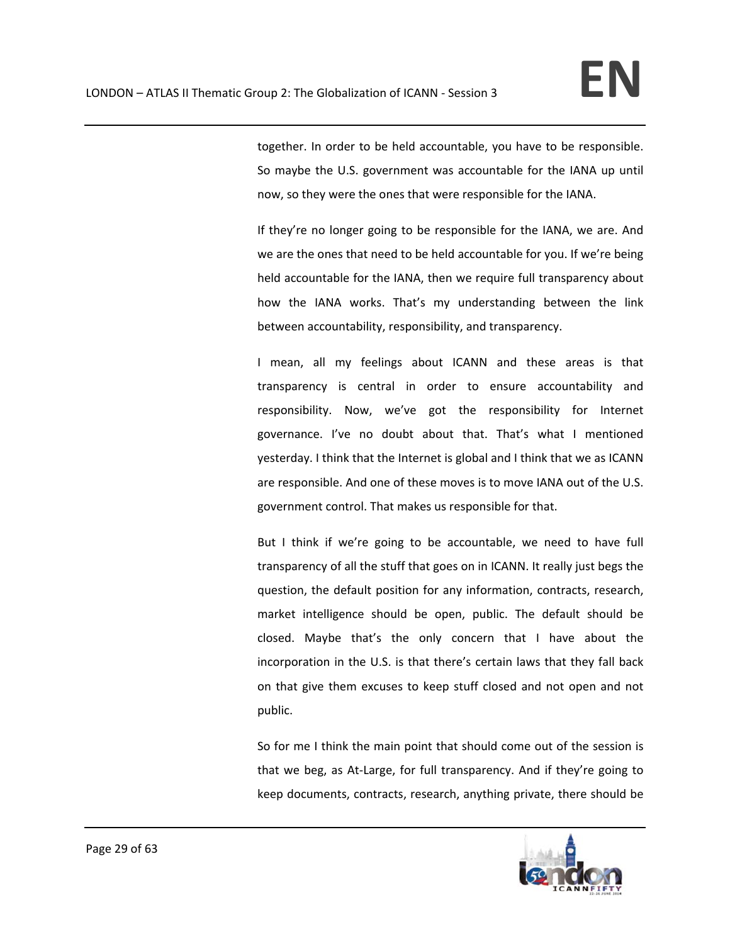together. In order to be held accountable, you have to be responsible. So maybe the U.S. government was accountable for the IANA up until now, so they were the ones that were responsible for the IANA.

If they're no longer going to be responsible for the IANA, we are. And we are the ones that need to be held accountable for you. If we're being held accountable for the IANA, then we require full transparency about how the IANA works. That's my understanding between the link between accountability, responsibility, and transparency.

I mean, all my feelings about ICANN and these areas is that transparency is central in order to ensure accountability and responsibility. Now, we've got the responsibility for Internet governance. I've no doubt about that. That's what I mentioned yesterday. I think that the Internet is global and I think that we as ICANN are responsible. And one of these moves is to move IANA out of the U.S. government control. That makes us responsible for that.

But I think if we're going to be accountable, we need to have full transparency of all the stuff that goes on in ICANN. It really just begs the question, the default position for any information, contracts, research, market intelligence should be open, public. The default should be closed. Maybe that's the only concern that I have about the incorporation in the U.S. is that there's certain laws that they fall back on that give them excuses to keep stuff closed and not open and not public.

So for me I think the main point that should come out of the session is that we beg, as At‐Large, for full transparency. And if they're going to keep documents, contracts, research, anything private, there should be

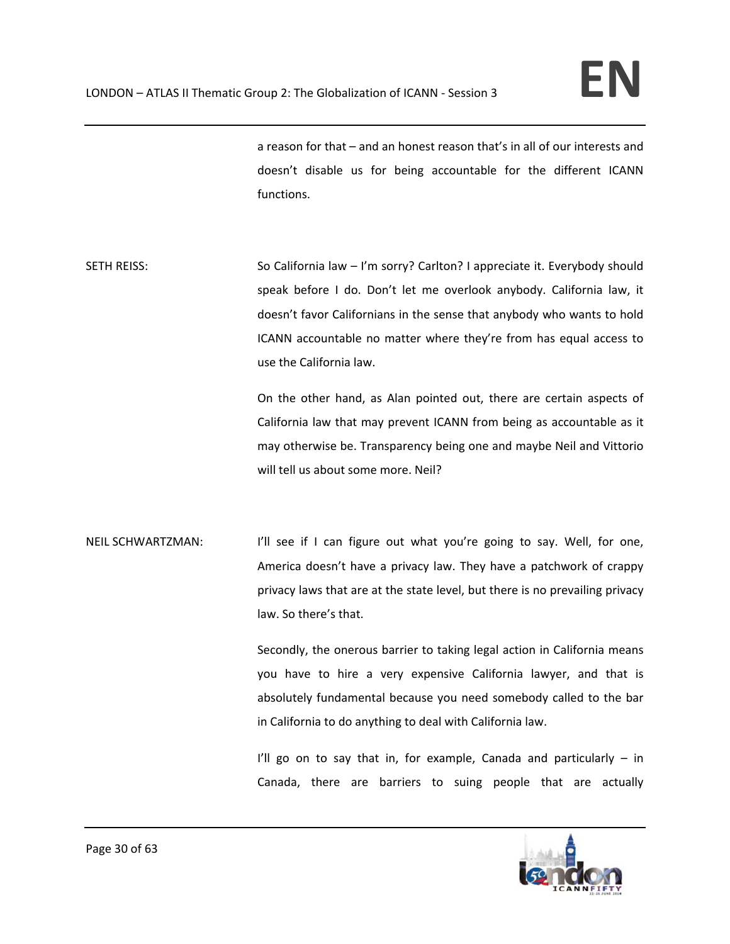a reason for that – and an honest reason that's in all of our interests and doesn't disable us for being accountable for the different ICANN functions.

SETH REISS: So California law – I'm sorry? Carlton? I appreciate it. Everybody should speak before I do. Don't let me overlook anybody. California law, it doesn't favor Californians in the sense that anybody who wants to hold ICANN accountable no matter where they're from has equal access to use the California law.

> On the other hand, as Alan pointed out, there are certain aspects of California law that may prevent ICANN from being as accountable as it may otherwise be. Transparency being one and maybe Neil and Vittorio will tell us about some more. Neil?

NEIL SCHWARTZMAN: I'll see if I can figure out what you're going to say. Well, for one, America doesn't have a privacy law. They have a patchwork of crappy privacy laws that are at the state level, but there is no prevailing privacy law. So there's that.

> Secondly, the onerous barrier to taking legal action in California means you have to hire a very expensive California lawyer, and that is absolutely fundamental because you need somebody called to the bar in California to do anything to deal with California law.

> I'll go on to say that in, for example, Canada and particularly  $-$  in Canada, there are barriers to suing people that are actually

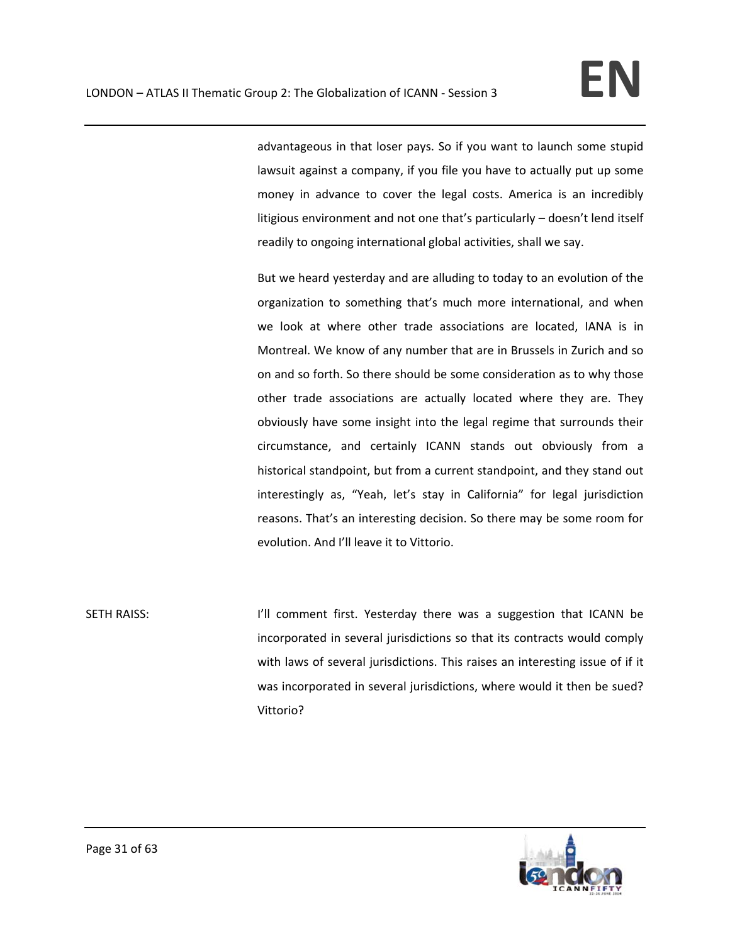advantageous in that loser pays. So if you want to launch some stupid lawsuit against a company, if you file you have to actually put up some money in advance to cover the legal costs. America is an incredibly litigious environment and not one that's particularly – doesn't lend itself readily to ongoing international global activities, shall we say.

But we heard yesterday and are alluding to today to an evolution of the organization to something that's much more international, and when we look at where other trade associations are located, IANA is in Montreal. We know of any number that are in Brussels in Zurich and so on and so forth. So there should be some consideration as to why those other trade associations are actually located where they are. They obviously have some insight into the legal regime that surrounds their circumstance, and certainly ICANN stands out obviously from a historical standpoint, but from a current standpoint, and they stand out interestingly as, "Yeah, let's stay in California" for legal jurisdiction reasons. That's an interesting decision. So there may be some room for evolution. And I'll leave it to Vittorio.

SETH RAISS: I I'll comment first. Yesterday there was a suggestion that ICANN be incorporated in several jurisdictions so that its contracts would comply with laws of several jurisdictions. This raises an interesting issue of if it was incorporated in several jurisdictions, where would it then be sued? Vittorio?

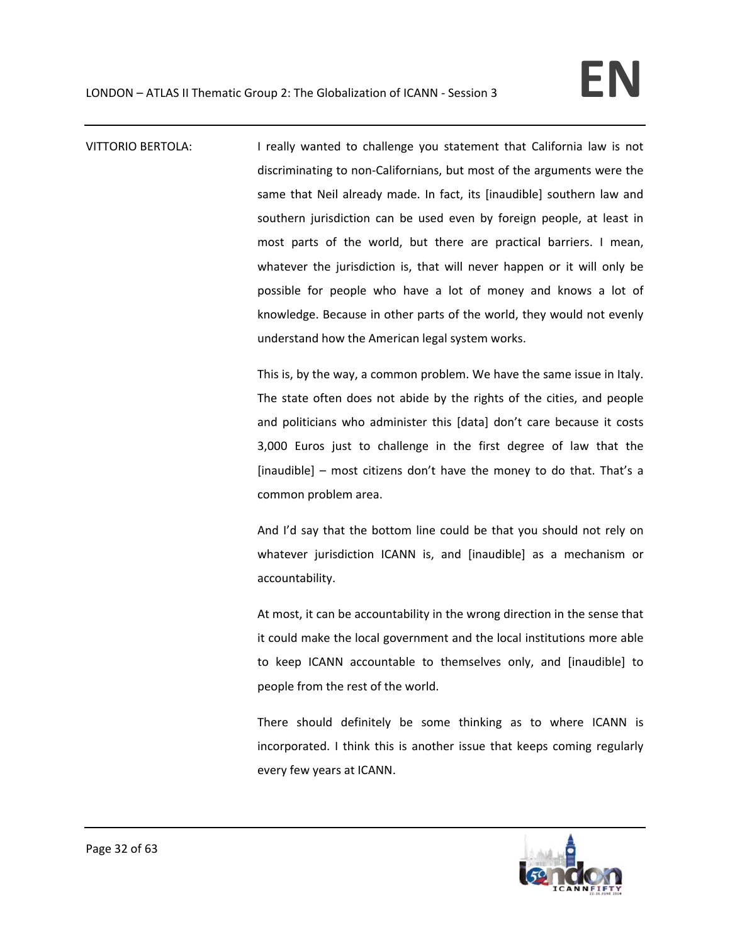VITTORIO BERTOLA: I really wanted to challenge you statement that California law is not discriminating to non‐Californians, but most of the arguments were the same that Neil already made. In fact, its [inaudible] southern law and southern jurisdiction can be used even by foreign people, at least in most parts of the world, but there are practical barriers. I mean, whatever the jurisdiction is, that will never happen or it will only be possible for people who have a lot of money and knows a lot of knowledge. Because in other parts of the world, they would not evenly understand how the American legal system works.

> This is, by the way, a common problem. We have the same issue in Italy. The state often does not abide by the rights of the cities, and people and politicians who administer this [data] don't care because it costs 3,000 Euros just to challenge in the first degree of law that the [inaudible] – most citizens don't have the money to do that. That's a common problem area.

> And I'd say that the bottom line could be that you should not rely on whatever jurisdiction ICANN is, and [inaudible] as a mechanism or accountability.

> At most, it can be accountability in the wrong direction in the sense that it could make the local government and the local institutions more able to keep ICANN accountable to themselves only, and [inaudible] to people from the rest of the world.

> There should definitely be some thinking as to where ICANN is incorporated. I think this is another issue that keeps coming regularly every few years at ICANN.

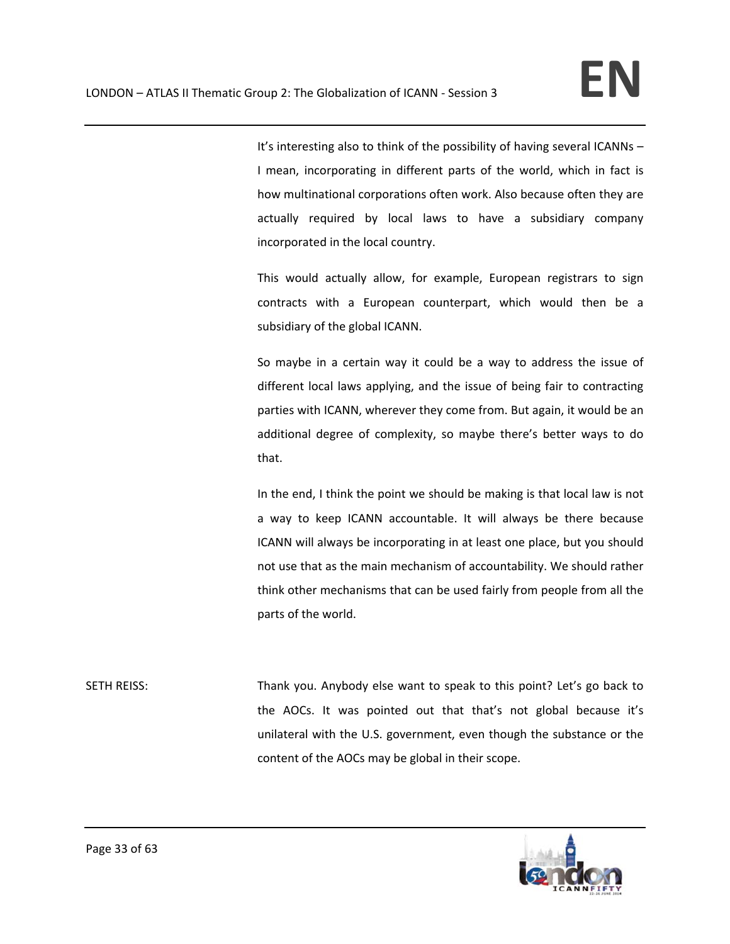It's interesting also to think of the possibility of having several ICANNs – I mean, incorporating in different parts of the world, which in fact is how multinational corporations often work. Also because often they are actually required by local laws to have a subsidiary company incorporated in the local country.

This would actually allow, for example, European registrars to sign contracts with a European counterpart, which would then be a subsidiary of the global ICANN.

So maybe in a certain way it could be a way to address the issue of different local laws applying, and the issue of being fair to contracting parties with ICANN, wherever they come from. But again, it would be an additional degree of complexity, so maybe there's better ways to do that.

In the end, I think the point we should be making is that local law is not a way to keep ICANN accountable. It will always be there because ICANN will always be incorporating in at least one place, but you should not use that as the main mechanism of accountability. We should rather think other mechanisms that can be used fairly from people from all the parts of the world.

SETH REISS: Thank you. Anybody else want to speak to this point? Let's go back to the AOCs. It was pointed out that that's not global because it's unilateral with the U.S. government, even though the substance or the content of the AOCs may be global in their scope.

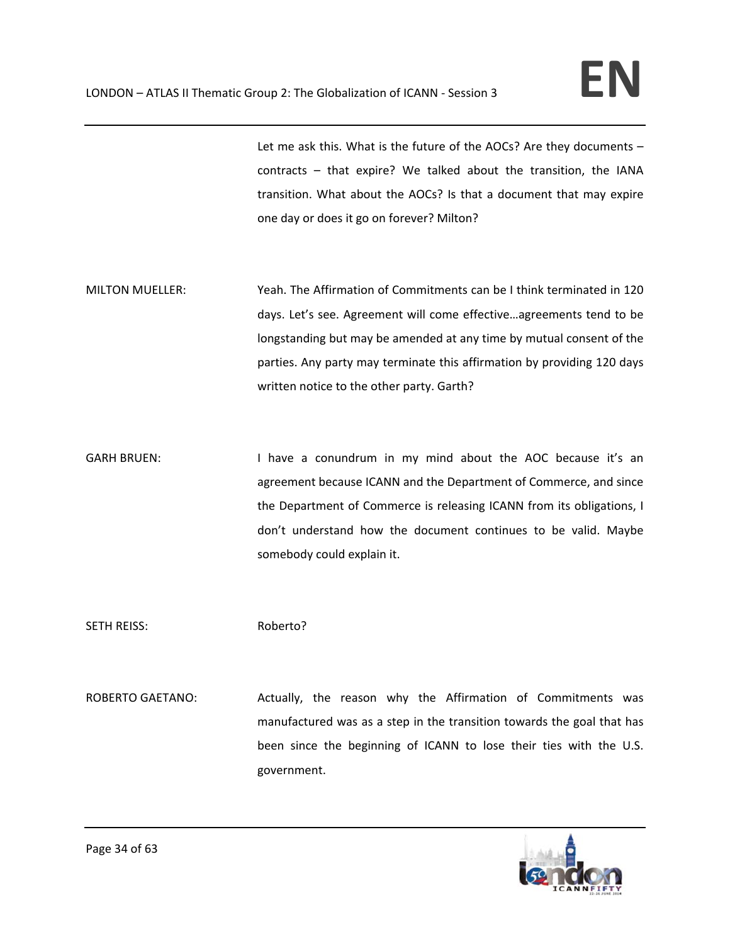Let me ask this. What is the future of the AOCs? Are they documents – contracts – that expire? We talked about the transition, the IANA transition. What about the AOCs? Is that a document that may expire one day or does it go on forever? Milton?

- MILTON MUELLER: Yeah. The Affirmation of Commitments can be I think terminated in 120 days. Let's see. Agreement will come effective…agreements tend to be longstanding but may be amended at any time by mutual consent of the parties. Any party may terminate this affirmation by providing 120 days written notice to the other party. Garth?
- GARH BRUEN: I have a conundrum in my mind about the AOC because it's an agreement because ICANN and the Department of Commerce, and since the Department of Commerce is releasing ICANN from its obligations, I don't understand how the document continues to be valid. Maybe somebody could explain it.

SETH REISS: Roberto?

ROBERTO GAETANO: Actually, the reason why the Affirmation of Commitments was manufactured was as a step in the transition towards the goal that has been since the beginning of ICANN to lose their ties with the U.S. government.

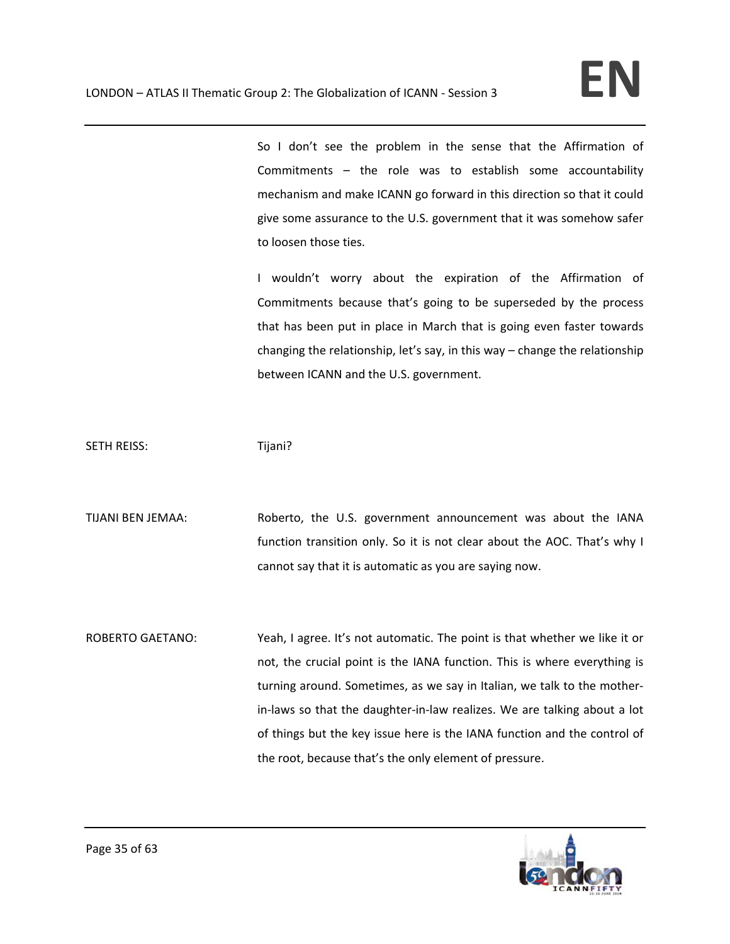So I don't see the problem in the sense that the Affirmation of Commitments – the role was to establish some accountability mechanism and make ICANN go forward in this direction so that it could give some assurance to the U.S. government that it was somehow safer to loosen those ties.

I wouldn't worry about the expiration of the Affirmation of Commitments because that's going to be superseded by the process that has been put in place in March that is going even faster towards changing the relationship, let's say, in this way – change the relationship between ICANN and the U.S. government.

SETH REISS: Tijani?

TIJANI BEN JEMAA: Roberto, the U.S. government announcement was about the IANA function transition only. So it is not clear about the AOC. That's why I cannot say that it is automatic as you are saying now.

ROBERTO GAETANO: Yeah, I agree. It's not automatic. The point is that whether we like it or not, the crucial point is the IANA function. This is where everything is turning around. Sometimes, as we say in Italian, we talk to the mother‐ in‐laws so that the daughter‐in‐law realizes. We are talking about a lot of things but the key issue here is the IANA function and the control of the root, because that's the only element of pressure.

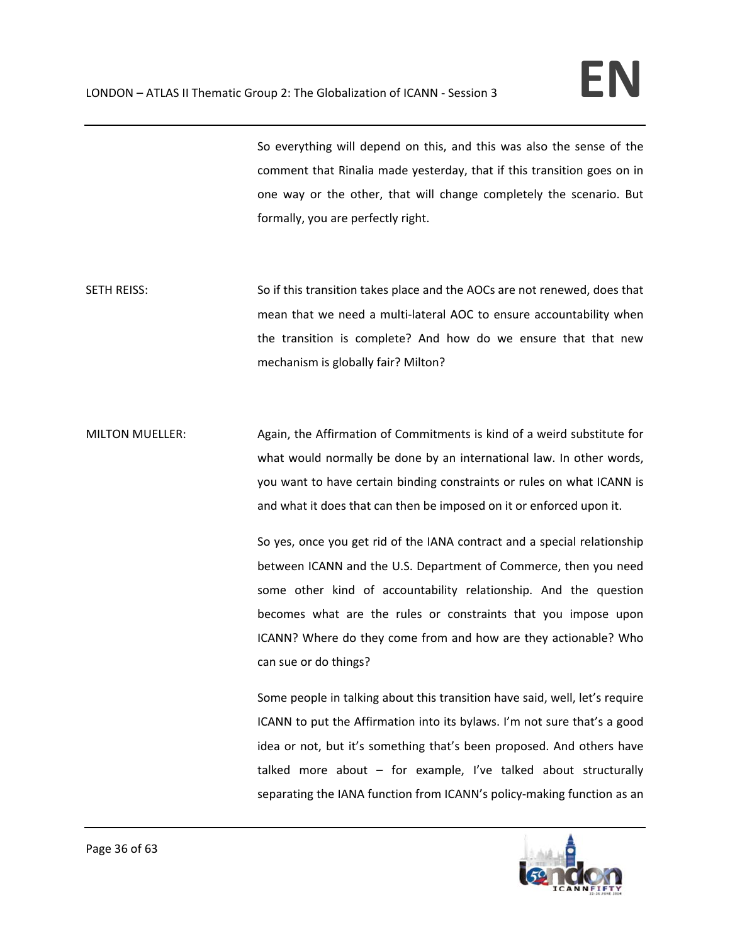So everything will depend on this, and this was also the sense of the comment that Rinalia made yesterday, that if this transition goes on in one way or the other, that will change completely the scenario. But formally, you are perfectly right.

- SETH REISS: So if this transition takes place and the AOCs are not renewed, does that mean that we need a multi-lateral AOC to ensure accountability when the transition is complete? And how do we ensure that that new mechanism is globally fair? Milton?
- MILTON MUELLER: Again, the Affirmation of Commitments is kind of a weird substitute for what would normally be done by an international law. In other words, you want to have certain binding constraints or rules on what ICANN is and what it does that can then be imposed on it or enforced upon it.

So yes, once you get rid of the IANA contract and a special relationship between ICANN and the U.S. Department of Commerce, then you need some other kind of accountability relationship. And the question becomes what are the rules or constraints that you impose upon ICANN? Where do they come from and how are they actionable? Who can sue or do things?

Some people in talking about this transition have said, well, let's require ICANN to put the Affirmation into its bylaws. I'm not sure that's a good idea or not, but it's something that's been proposed. And others have talked more about – for example, I've talked about structurally separating the IANA function from ICANN's policy-making function as an

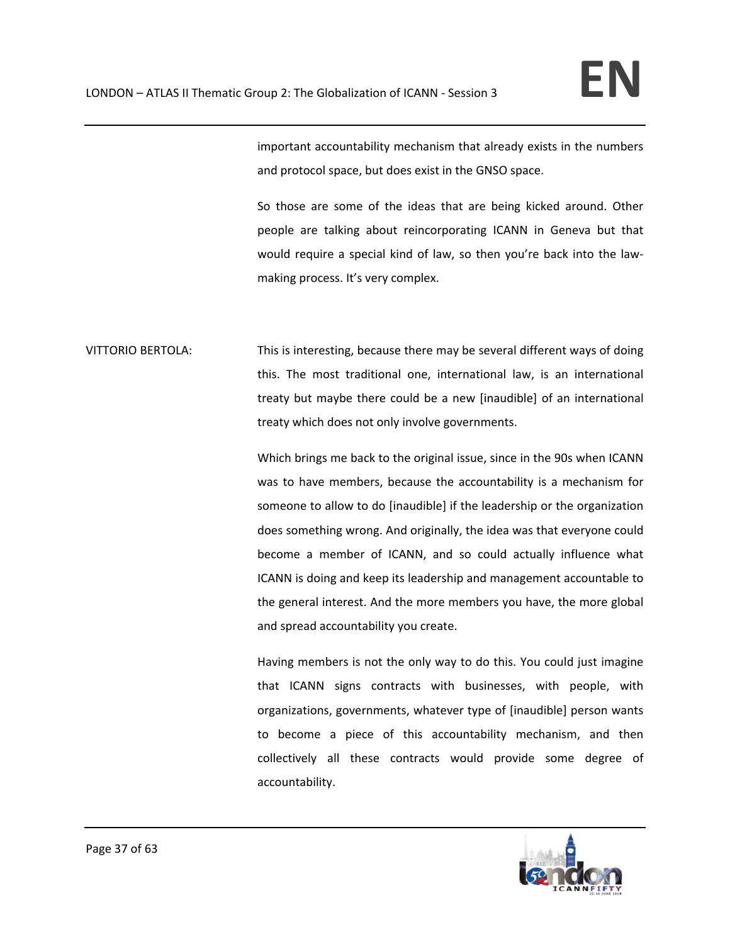important accountability mechanism that already exists in the numbers and protocol space, but does exist in the GNSO space.

So those are some of the ideas that are being kicked around. Other people are talking about reincorporating ICANN in Geneva but that would require a special kind of law, so then you're back into the law‐ making process. It's very complex.

VITTORIO BERTOLA: This is interesting, because there may be several different ways of doing this. The most traditional one, international law, is an international treaty but maybe there could be a new [inaudible] of an international treaty which does not only involve governments.

> Which brings me back to the original issue, since in the 90s when ICANN was to have members, because the accountability is a mechanism for someone to allow to do [inaudible] if the leadership or the organization does something wrong. And originally, the idea was that everyone could become a member of ICANN, and so could actually influence what ICANN is doing and keep its leadership and management accountable to the general interest. And the more members you have, the more global and spread accountability you create.

> Having members is not the only way to do this. You could just imagine that ICANN signs contracts with businesses, with people, with organizations, governments, whatever type of [inaudible] person wants to become a piece of this accountability mechanism, and then collectively all these contracts would provide some degree of accountability.

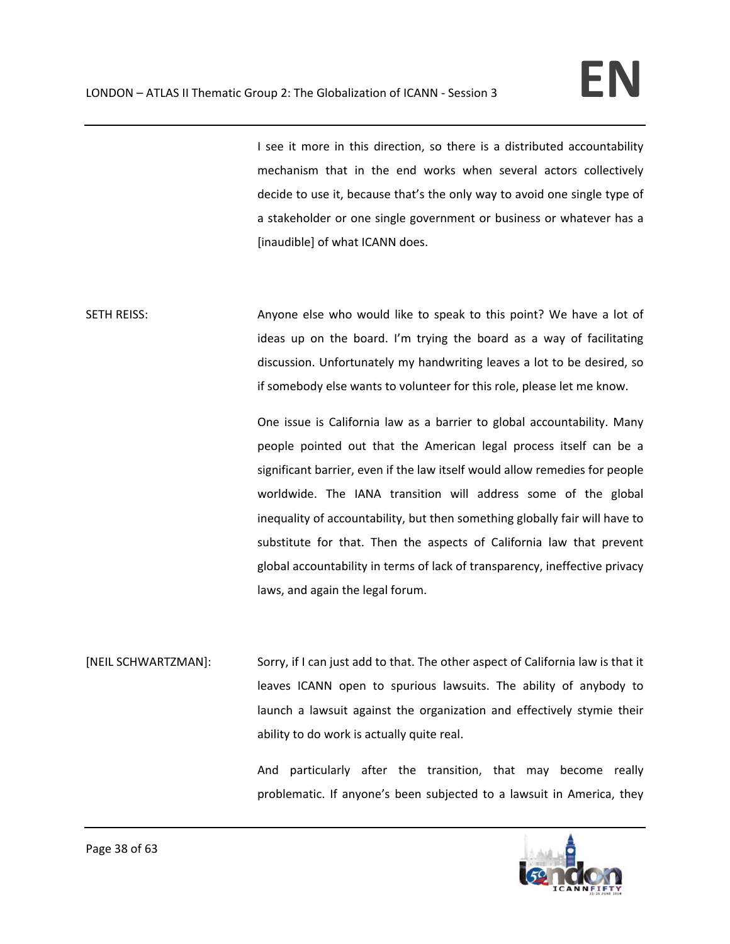I see it more in this direction, so there is a distributed accountability mechanism that in the end works when several actors collectively decide to use it, because that's the only way to avoid one single type of a stakeholder or one single government or business or whatever has a [inaudible] of what ICANN does.

SETH REISS: Anyone else who would like to speak to this point? We have a lot of ideas up on the board. I'm trying the board as a way of facilitating discussion. Unfortunately my handwriting leaves a lot to be desired, so if somebody else wants to volunteer for this role, please let me know.

> One issue is California law as a barrier to global accountability. Many people pointed out that the American legal process itself can be a significant barrier, even if the law itself would allow remedies for people worldwide. The IANA transition will address some of the global inequality of accountability, but then something globally fair will have to substitute for that. Then the aspects of California law that prevent global accountability in terms of lack of transparency, ineffective privacy laws, and again the legal forum.

[NEIL SCHWARTZMAN]: Sorry, if I can just add to that. The other aspect of California law is that it leaves ICANN open to spurious lawsuits. The ability of anybody to launch a lawsuit against the organization and effectively stymie their ability to do work is actually quite real.

> And particularly after the transition, that may become really problematic. If anyone's been subjected to a lawsuit in America, they

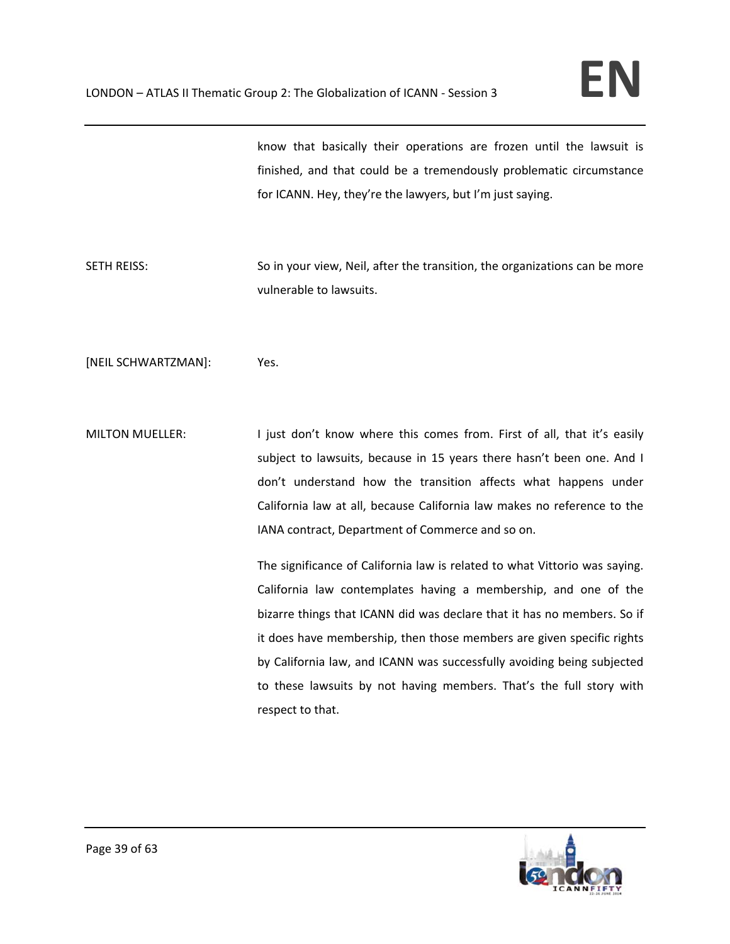know that basically their operations are frozen until the lawsuit is finished, and that could be a tremendously problematic circumstance for ICANN. Hey, they're the lawyers, but I'm just saying.

SETH REISS: So in your view, Neil, after the transition, the organizations can be more vulnerable to lawsuits.

[NEIL SCHWARTZMAN]: Yes.

MILTON MUELLER: I just don't know where this comes from. First of all, that it's easily subject to lawsuits, because in 15 years there hasn't been one. And I don't understand how the transition affects what happens under California law at all, because California law makes no reference to the IANA contract, Department of Commerce and so on.

> The significance of California law is related to what Vittorio was saying. California law contemplates having a membership, and one of the bizarre things that ICANN did was declare that it has no members. So if it does have membership, then those members are given specific rights by California law, and ICANN was successfully avoiding being subjected to these lawsuits by not having members. That's the full story with respect to that.

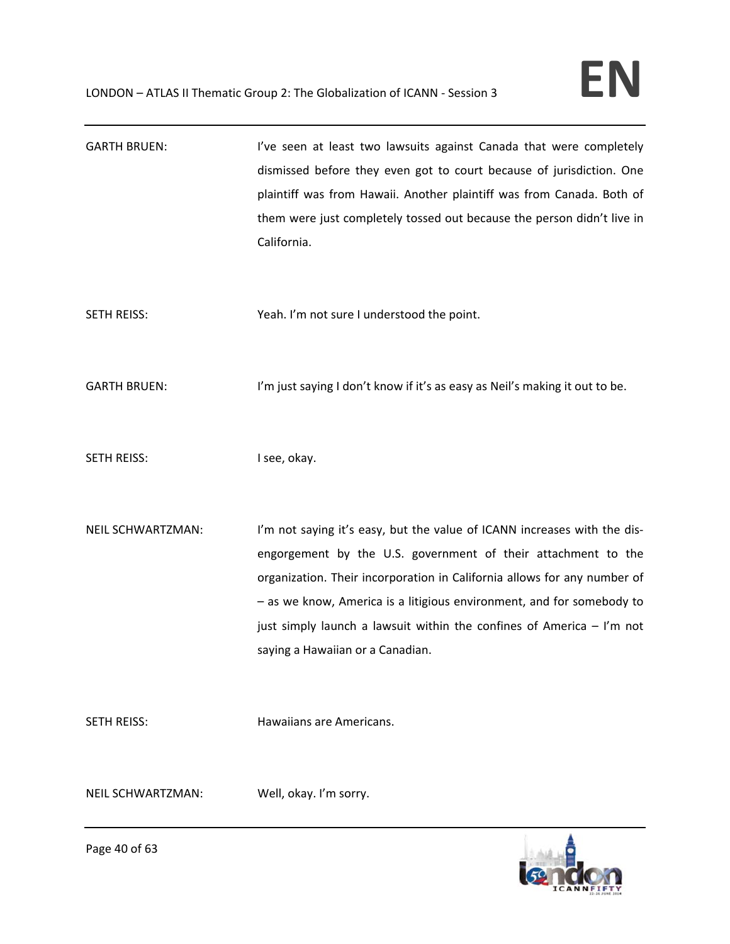GARTH BRUEN: I've seen at least two lawsuits against Canada that were completely dismissed before they even got to court because of jurisdiction. One plaintiff was from Hawaii. Another plaintiff was from Canada. Both of them were just completely tossed out because the person didn't live in California. SETH REISS: Yeah. I'm not sure I understood the point. GARTH BRUEN: I'm just saying I don't know if it's as easy as Neil's making it out to be. SETH REISS: I see, okay. NEIL SCHWARTZMAN: I'm not saying it's easy, but the value of ICANN increases with the disengorgement by the U.S. government of their attachment to the organization. Their incorporation in California allows for any number of – as we know, America is a litigious environment, and for somebody to just simply launch a lawsuit within the confines of America – I'm not saying a Hawaiian or a Canadian. SETH REISS: Hawaiians are Americans. NEIL SCHWARTZMAN: Well, okay. I'm sorry.

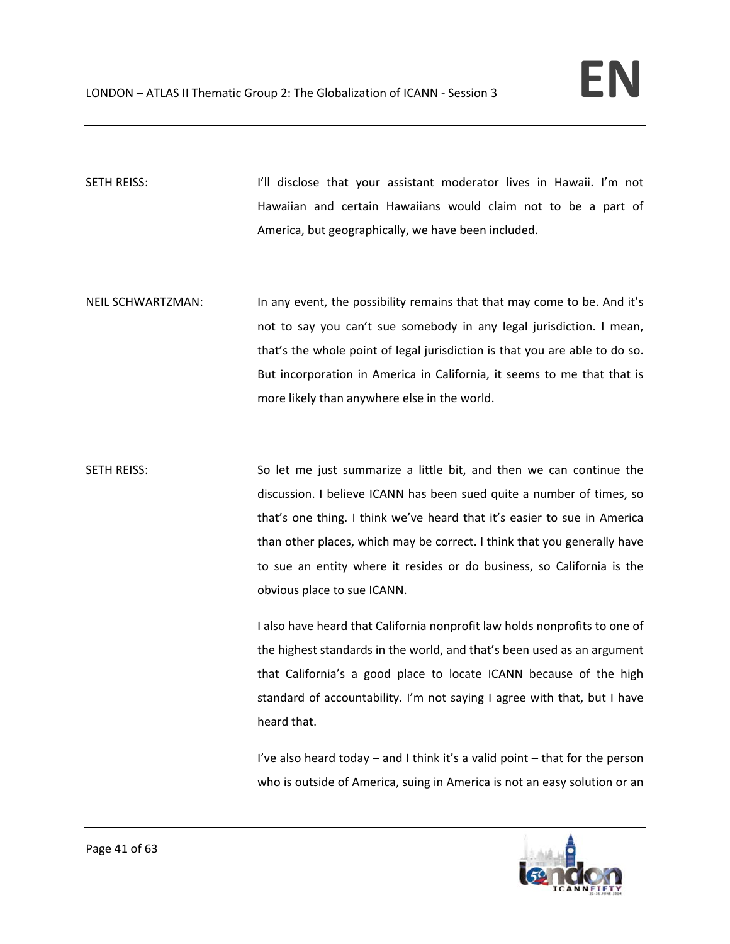SETH REISS: I'll disclose that your assistant moderator lives in Hawaii. I'm not Hawaiian and certain Hawaiians would claim not to be a part of America, but geographically, we have been included.

- NEIL SCHWARTZMAN: In any event, the possibility remains that that may come to be. And it's not to say you can't sue somebody in any legal jurisdiction. I mean, that's the whole point of legal jurisdiction is that you are able to do so. But incorporation in America in California, it seems to me that that is more likely than anywhere else in the world.
- SETH REISS: So let me just summarize a little bit, and then we can continue the discussion. I believe ICANN has been sued quite a number of times, so that's one thing. I think we've heard that it's easier to sue in America than other places, which may be correct. I think that you generally have to sue an entity where it resides or do business, so California is the obvious place to sue ICANN.

I also have heard that California nonprofit law holds nonprofits to one of the highest standards in the world, and that's been used as an argument that California's a good place to locate ICANN because of the high standard of accountability. I'm not saying I agree with that, but I have heard that.

I've also heard today – and I think it's a valid point – that for the person who is outside of America, suing in America is not an easy solution or an

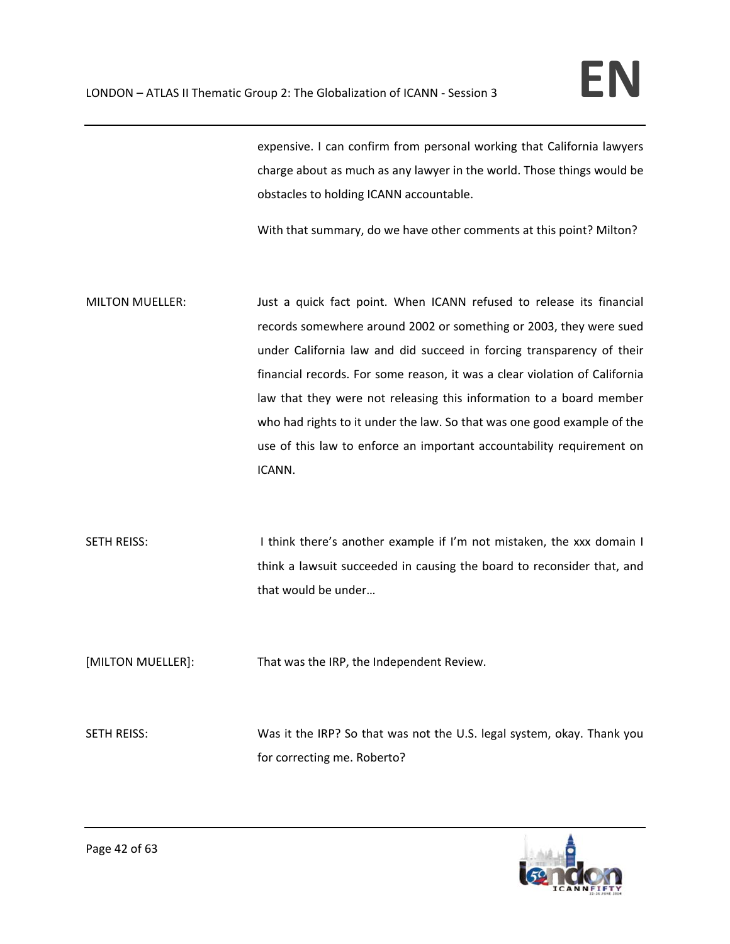expensive. I can confirm from personal working that California lawyers charge about as much as any lawyer in the world. Those things would be obstacles to holding ICANN accountable.

With that summary, do we have other comments at this point? Milton?

- MILTON MUELLER: Just a quick fact point. When ICANN refused to release its financial records somewhere around 2002 or something or 2003, they were sued under California law and did succeed in forcing transparency of their financial records. For some reason, it was a clear violation of California law that they were not releasing this information to a board member who had rights to it under the law. So that was one good example of the use of this law to enforce an important accountability requirement on ICANN.
- SETH REISS: Interest another example if I'm not mistaken, the xxx domain I think a lawsuit succeeded in causing the board to reconsider that, and that would be under…

[MILTON MUELLER]: That was the IRP, the Independent Review.

SETH REISS: Was it the IRP? So that was not the U.S. legal system, okay. Thank you for correcting me. Roberto?

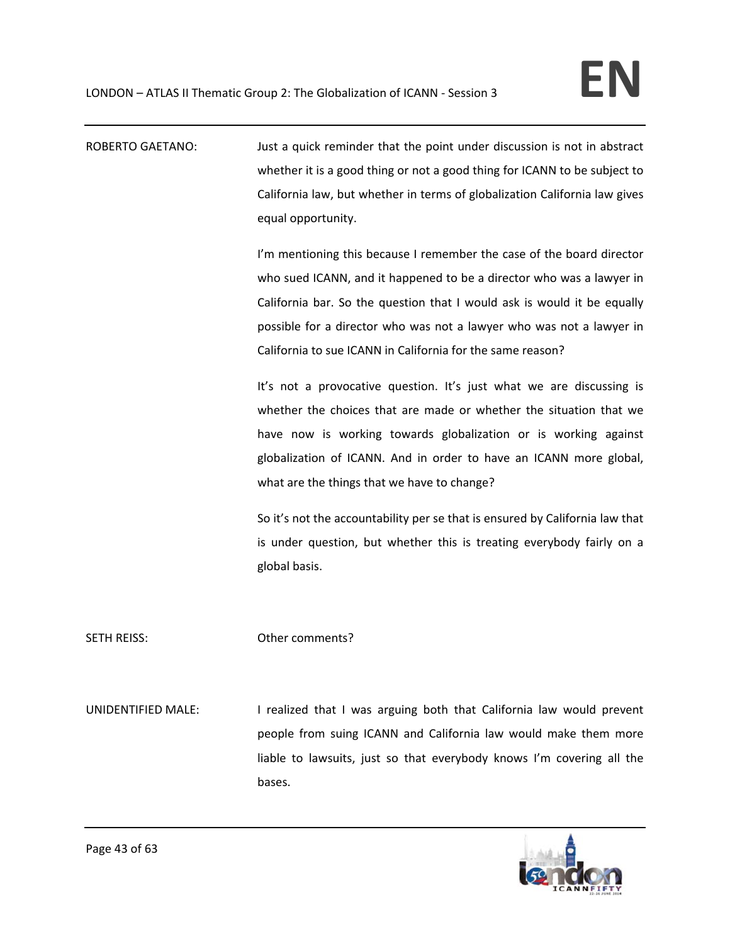ROBERTO GAETANO: Just a quick reminder that the point under discussion is not in abstract whether it is a good thing or not a good thing for ICANN to be subject to California law, but whether in terms of globalization California law gives equal opportunity.

> I'm mentioning this because I remember the case of the board director who sued ICANN, and it happened to be a director who was a lawyer in California bar. So the question that I would ask is would it be equally possible for a director who was not a lawyer who was not a lawyer in California to sue ICANN in California for the same reason?

> It's not a provocative question. It's just what we are discussing is whether the choices that are made or whether the situation that we have now is working towards globalization or is working against globalization of ICANN. And in order to have an ICANN more global, what are the things that we have to change?

> So it's not the accountability per se that is ensured by California law that is under question, but whether this is treating everybody fairly on a global basis.

## SETH REISS: Other comments?

UNIDENTIFIED MALE: I realized that I was arguing both that California law would prevent people from suing ICANN and California law would make them more liable to lawsuits, just so that everybody knows I'm covering all the bases.

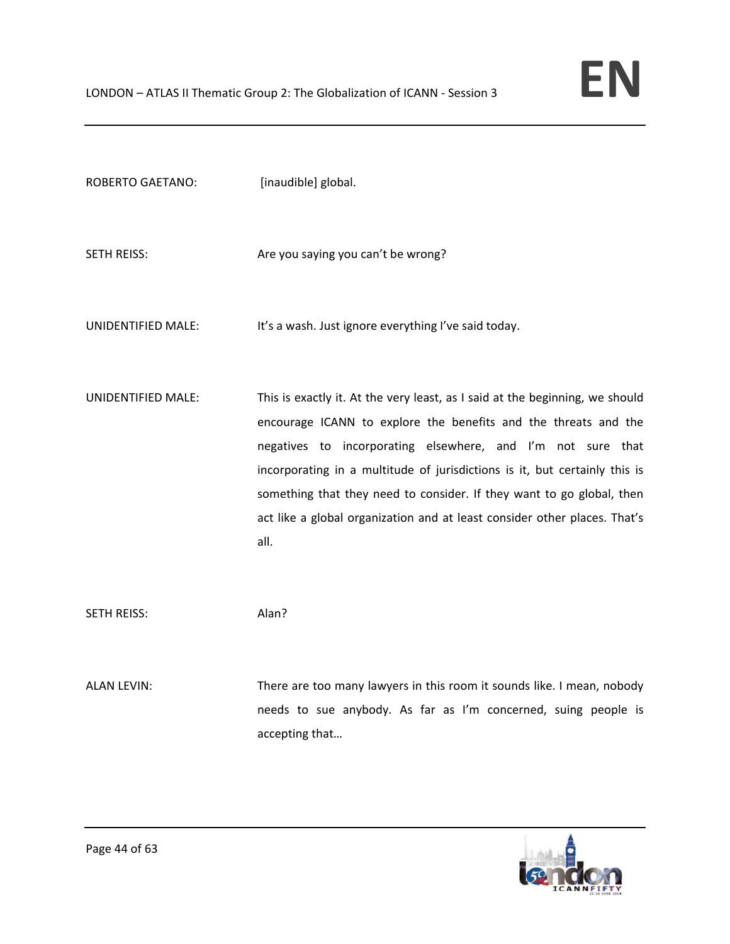| <b>ROBERTO GAETANO:</b> | [inaudible] global.                                                                                                                                                                                                                                                                                                                                                                                                                                        |
|-------------------------|------------------------------------------------------------------------------------------------------------------------------------------------------------------------------------------------------------------------------------------------------------------------------------------------------------------------------------------------------------------------------------------------------------------------------------------------------------|
| <b>SETH REISS:</b>      | Are you saying you can't be wrong?                                                                                                                                                                                                                                                                                                                                                                                                                         |
| UNIDENTIFIED MALE:      | It's a wash. Just ignore everything I've said today.                                                                                                                                                                                                                                                                                                                                                                                                       |
| UNIDENTIFIED MALE:      | This is exactly it. At the very least, as I said at the beginning, we should<br>encourage ICANN to explore the benefits and the threats and the<br>negatives to incorporating elsewhere, and I'm not sure that<br>incorporating in a multitude of jurisdictions is it, but certainly this is<br>something that they need to consider. If they want to go global, then<br>act like a global organization and at least consider other places. That's<br>all. |
| <b>SETH REISS:</b>      | Alan?                                                                                                                                                                                                                                                                                                                                                                                                                                                      |
| <b>ALAN LEVIN:</b>      | There are too many lawyers in this room it sounds like. I mean, nobody<br>needs to sue anybody. As far as I'm concerned, suing people is                                                                                                                                                                                                                                                                                                                   |

accepting that…

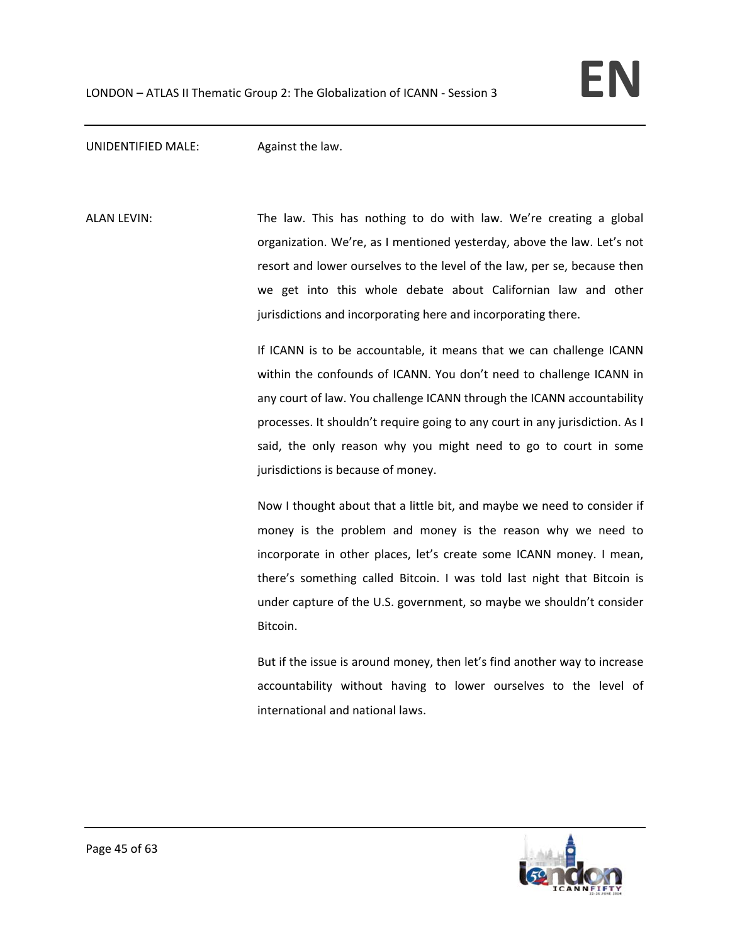UNIDENTIFIED MALE: Against the law.

ALAN LEVIN: The law. This has nothing to do with law. We're creating a global organization. We're, as I mentioned yesterday, above the law. Let's not resort and lower ourselves to the level of the law, per se, because then we get into this whole debate about Californian law and other jurisdictions and incorporating here and incorporating there.

> If ICANN is to be accountable, it means that we can challenge ICANN within the confounds of ICANN. You don't need to challenge ICANN in any court of law. You challenge ICANN through the ICANN accountability processes. It shouldn't require going to any court in any jurisdiction. As I said, the only reason why you might need to go to court in some jurisdictions is because of money.

> Now I thought about that a little bit, and maybe we need to consider if money is the problem and money is the reason why we need to incorporate in other places, let's create some ICANN money. I mean, there's something called Bitcoin. I was told last night that Bitcoin is under capture of the U.S. government, so maybe we shouldn't consider Bitcoin.

> But if the issue is around money, then let's find another way to increase accountability without having to lower ourselves to the level of international and national laws.

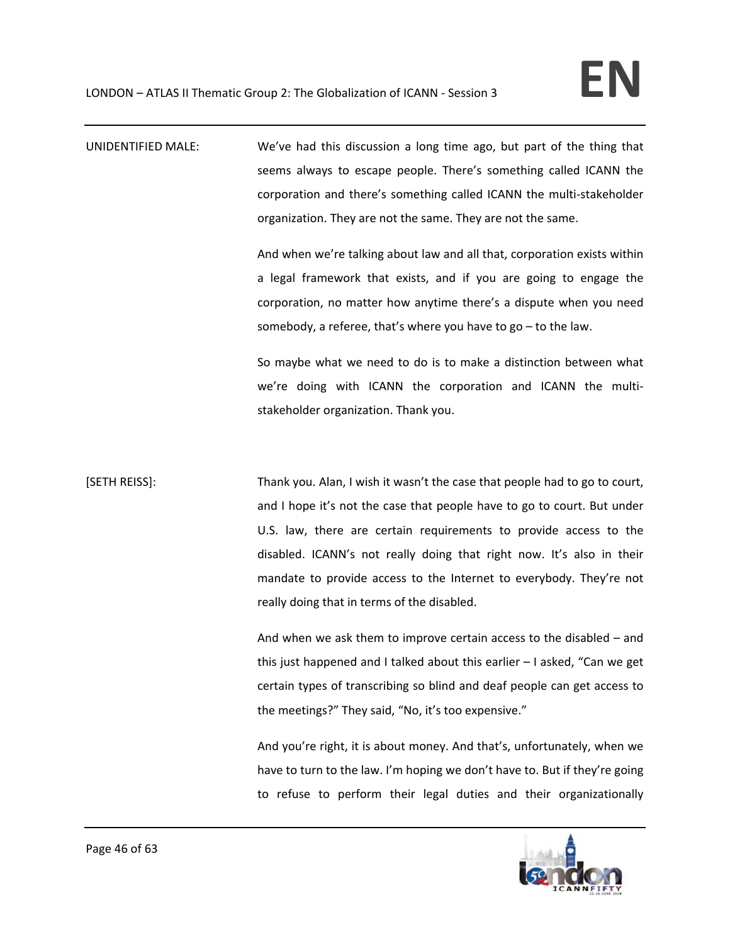UNIDENTIFIED MALE: We've had this discussion a long time ago, but part of the thing that seems always to escape people. There's something called ICANN the corporation and there's something called ICANN the multi‐stakeholder organization. They are not the same. They are not the same.

> And when we're talking about law and all that, corporation exists within a legal framework that exists, and if you are going to engage the corporation, no matter how anytime there's a dispute when you need somebody, a referee, that's where you have to go – to the law.

> So maybe what we need to do is to make a distinction between what we're doing with ICANN the corporation and ICANN the multistakeholder organization. Thank you.

[SETH REISS]: Thank you. Alan, I wish it wasn't the case that people had to go to court, and I hope it's not the case that people have to go to court. But under U.S. law, there are certain requirements to provide access to the disabled. ICANN's not really doing that right now. It's also in their mandate to provide access to the Internet to everybody. They're not really doing that in terms of the disabled.

> And when we ask them to improve certain access to the disabled – and this just happened and I talked about this earlier – I asked, "Can we get certain types of transcribing so blind and deaf people can get access to the meetings?" They said, "No, it's too expensive."

> And you're right, it is about money. And that's, unfortunately, when we have to turn to the law. I'm hoping we don't have to. But if they're going to refuse to perform their legal duties and their organizationally

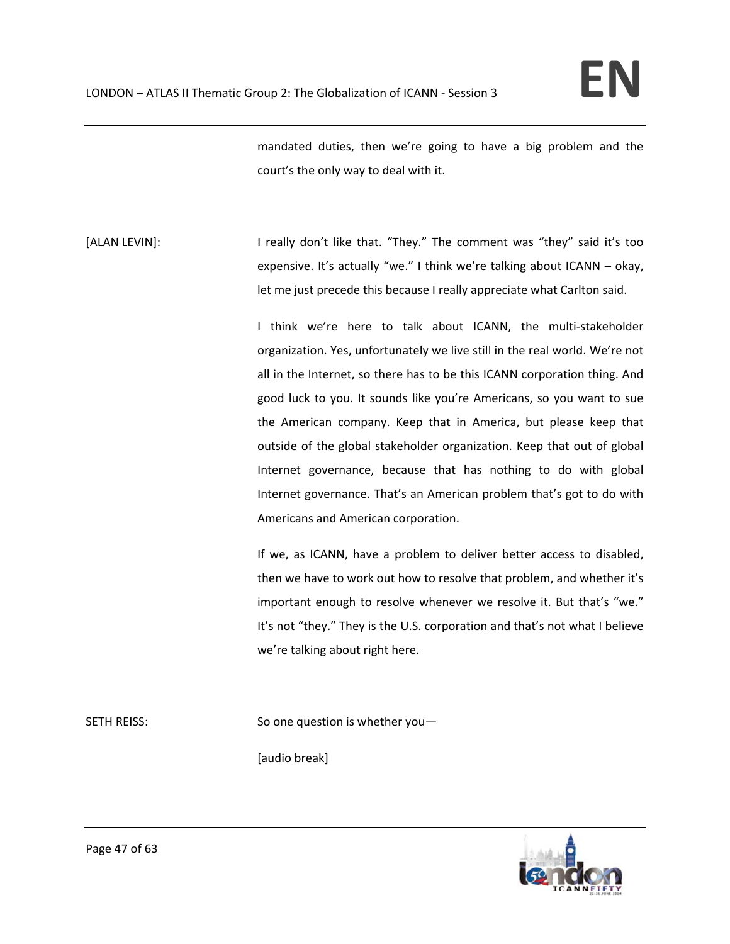mandated duties, then we're going to have a big problem and the court's the only way to deal with it.

[ALAN LEVIN]: I really don't like that. "They." The comment was "they" said it's too expensive. It's actually "we." I think we're talking about ICANN – okay, let me just precede this because I really appreciate what Carlton said.

> I think we're here to talk about ICANN, the multi‐stakeholder organization. Yes, unfortunately we live still in the real world. We're not all in the Internet, so there has to be this ICANN corporation thing. And good luck to you. It sounds like you're Americans, so you want to sue the American company. Keep that in America, but please keep that outside of the global stakeholder organization. Keep that out of global Internet governance, because that has nothing to do with global Internet governance. That's an American problem that's got to do with Americans and American corporation.

> If we, as ICANN, have a problem to deliver better access to disabled, then we have to work out how to resolve that problem, and whether it's important enough to resolve whenever we resolve it. But that's "we." It's not "they." They is the U.S. corporation and that's not what I believe we're talking about right here.

SETH REISS: Service So one question is whether you-

[audio break]

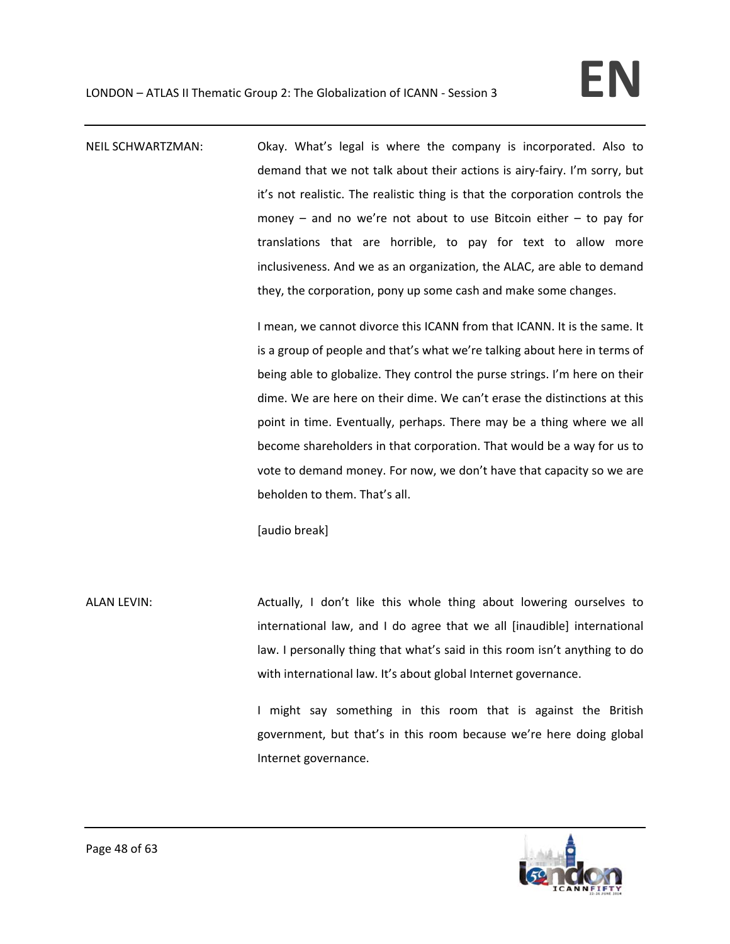NEIL SCHWARTZMAN: Okay. What's legal is where the company is incorporated. Also to demand that we not talk about their actions is airy‐fairy. I'm sorry, but it's not realistic. The realistic thing is that the corporation controls the money – and no we're not about to use Bitcoin either – to pay for translations that are horrible, to pay for text to allow more inclusiveness. And we as an organization, the ALAC, are able to demand they, the corporation, pony up some cash and make some changes.

> I mean, we cannot divorce this ICANN from that ICANN. It is the same. It is a group of people and that's what we're talking about here in terms of being able to globalize. They control the purse strings. I'm here on their dime. We are here on their dime. We can't erase the distinctions at this point in time. Eventually, perhaps. There may be a thing where we all become shareholders in that corporation. That would be a way for us to vote to demand money. For now, we don't have that capacity so we are beholden to them. That's all.

[audio break]

ALAN LEVIN: Actually, I don't like this whole thing about lowering ourselves to international law, and I do agree that we all [inaudible] international law. I personally thing that what's said in this room isn't anything to do with international law. It's about global Internet governance.

> I might say something in this room that is against the British government, but that's in this room because we're here doing global Internet governance.

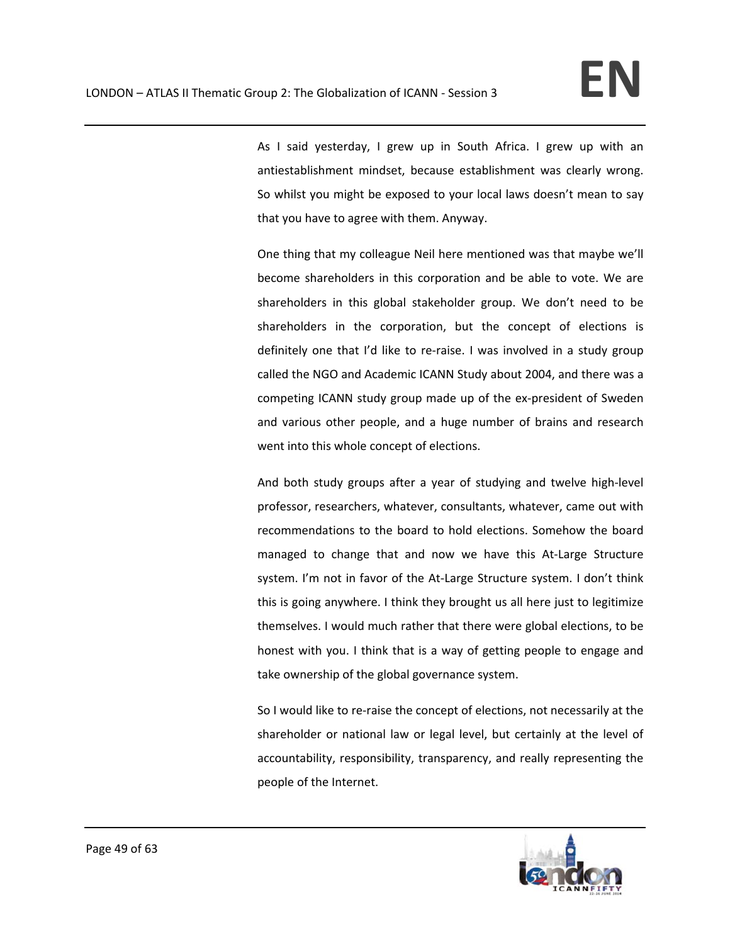As I said yesterday, I grew up in South Africa. I grew up with an antiestablishment mindset, because establishment was clearly wrong. So whilst you might be exposed to your local laws doesn't mean to say that you have to agree with them. Anyway.

One thing that my colleague Neil here mentioned was that maybe we'll become shareholders in this corporation and be able to vote. We are shareholders in this global stakeholder group. We don't need to be shareholders in the corporation, but the concept of elections is definitely one that I'd like to re‐raise. I was involved in a study group called the NGO and Academic ICANN Study about 2004, and there was a competing ICANN study group made up of the ex‐president of Sweden and various other people, and a huge number of brains and research went into this whole concept of elections.

And both study groups after a year of studying and twelve high‐level professor, researchers, whatever, consultants, whatever, came out with recommendations to the board to hold elections. Somehow the board managed to change that and now we have this At‐Large Structure system. I'm not in favor of the At-Large Structure system. I don't think this is going anywhere. I think they brought us all here just to legitimize themselves. I would much rather that there were global elections, to be honest with you. I think that is a way of getting people to engage and take ownership of the global governance system.

So I would like to re-raise the concept of elections, not necessarily at the shareholder or national law or legal level, but certainly at the level of accountability, responsibility, transparency, and really representing the people of the Internet.

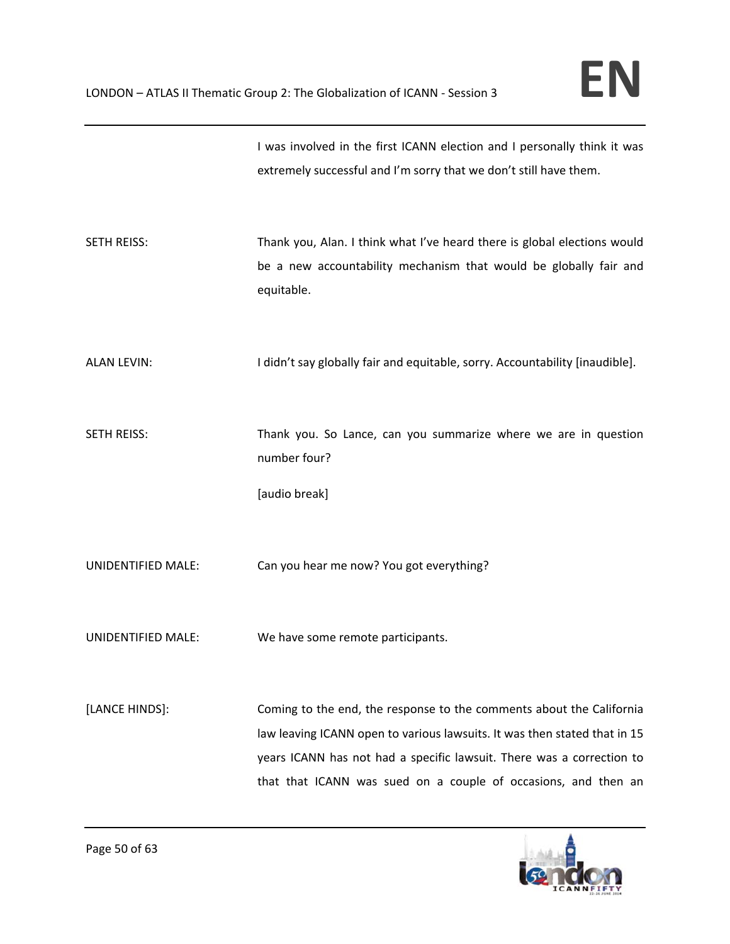|             | I was involved in the first ICANN election and I personally think it was |
|-------------|--------------------------------------------------------------------------|
|             | extremely successful and I'm sorry that we don't still have them.        |
|             |                                                                          |
|             |                                                                          |
| SETH REISS: | Thank you, Alan. I think what I've heard there is global elections would |
|             | be a new accountability mechanism that would be globally fair and        |
|             | equitable.                                                               |

ALAN LEVIN: I didn't say globally fair and equitable, sorry. Accountability [inaudible].

SETH REISS: Thank you. So Lance, can you summarize where we are in question number four?

[audio break]

UNIDENTIFIED MALE: Can you hear me now? You got everything?

UNIDENTIFIED MALE: We have some remote participants.

[LANCE HINDS]: Coming to the end, the response to the comments about the California law leaving ICANN open to various lawsuits. It was then stated that in 15 years ICANN has not had a specific lawsuit. There was a correction to that that ICANN was sued on a couple of occasions, and then an

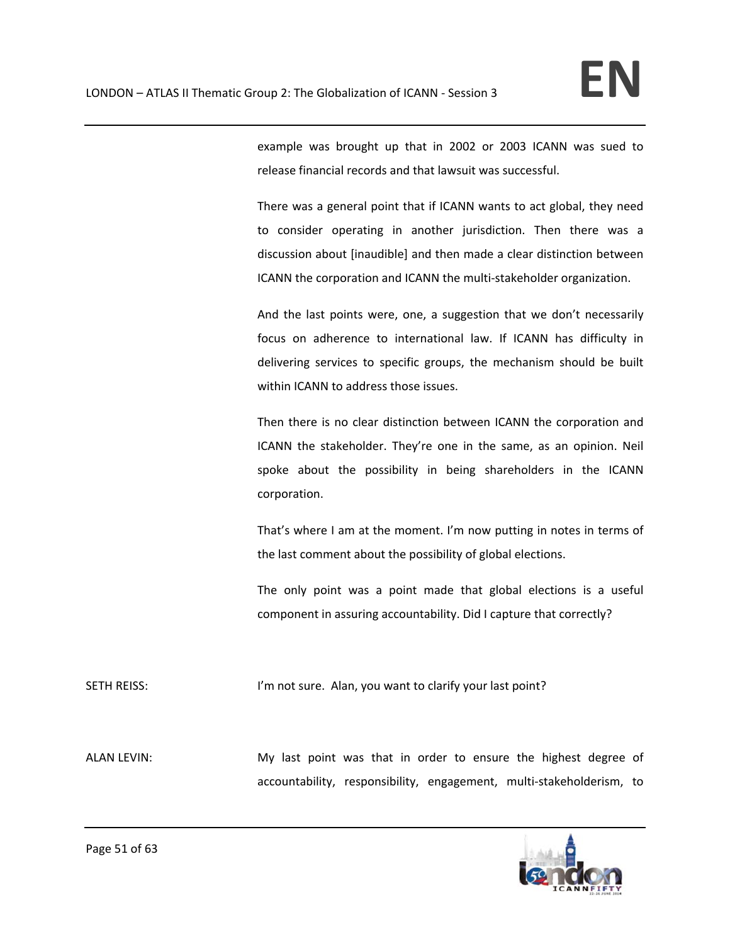example was brought up that in 2002 or 2003 ICANN was sued to release financial records and that lawsuit was successful.

There was a general point that if ICANN wants to act global, they need to consider operating in another jurisdiction. Then there was a discussion about [inaudible] and then made a clear distinction between ICANN the corporation and ICANN the multi‐stakeholder organization.

And the last points were, one, a suggestion that we don't necessarily focus on adherence to international law. If ICANN has difficulty in delivering services to specific groups, the mechanism should be built within ICANN to address those issues.

Then there is no clear distinction between ICANN the corporation and ICANN the stakeholder. They're one in the same, as an opinion. Neil spoke about the possibility in being shareholders in the ICANN corporation.

That's where I am at the moment. I'm now putting in notes in terms of the last comment about the possibility of global elections.

The only point was a point made that global elections is a useful component in assuring accountability. Did I capture that correctly?

SETH REISS: I'm not sure. Alan, you want to clarify your last point?

ALAN LEVIN: My last point was that in order to ensure the highest degree of accountability, responsibility, engagement, multi‐stakeholderism, to

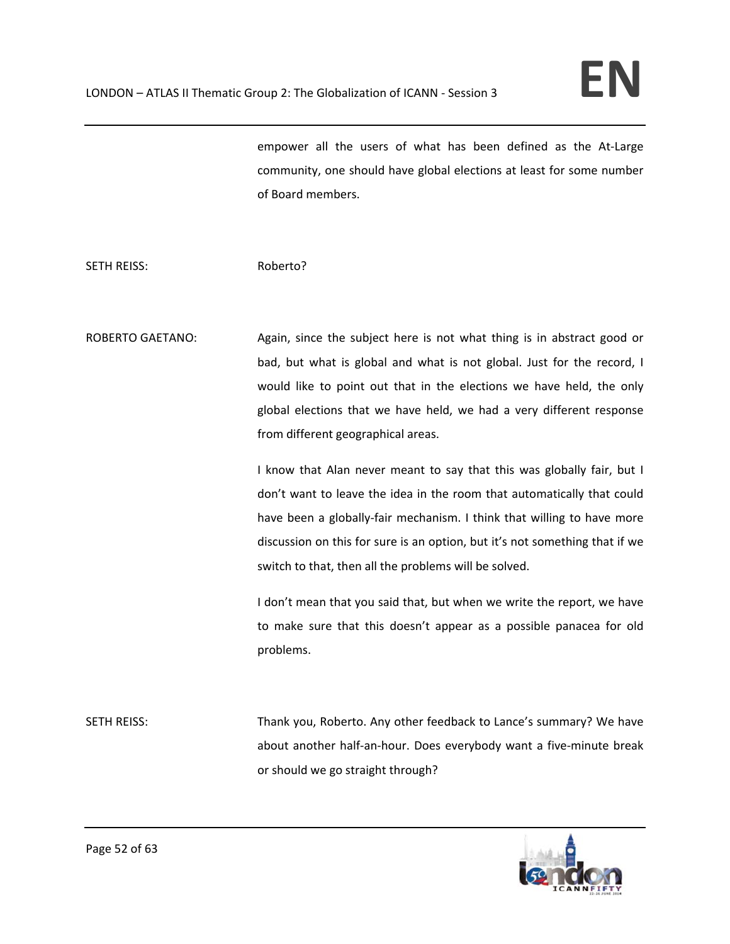empower all the users of what has been defined as the At-Large community, one should have global elections at least for some number of Board members.

### SETH REISS: Roberto?

ROBERTO GAETANO: Again, since the subject here is not what thing is in abstract good or bad, but what is global and what is not global. Just for the record, I would like to point out that in the elections we have held, the only global elections that we have held, we had a very different response from different geographical areas.

> I know that Alan never meant to say that this was globally fair, but I don't want to leave the idea in the room that automatically that could have been a globally-fair mechanism. I think that willing to have more discussion on this for sure is an option, but it's not something that if we switch to that, then all the problems will be solved.

> I don't mean that you said that, but when we write the report, we have to make sure that this doesn't appear as a possible panacea for old problems.

SETH REISS: Thank you, Roberto. Any other feedback to Lance's summary? We have about another half-an-hour. Does everybody want a five-minute break or should we go straight through?

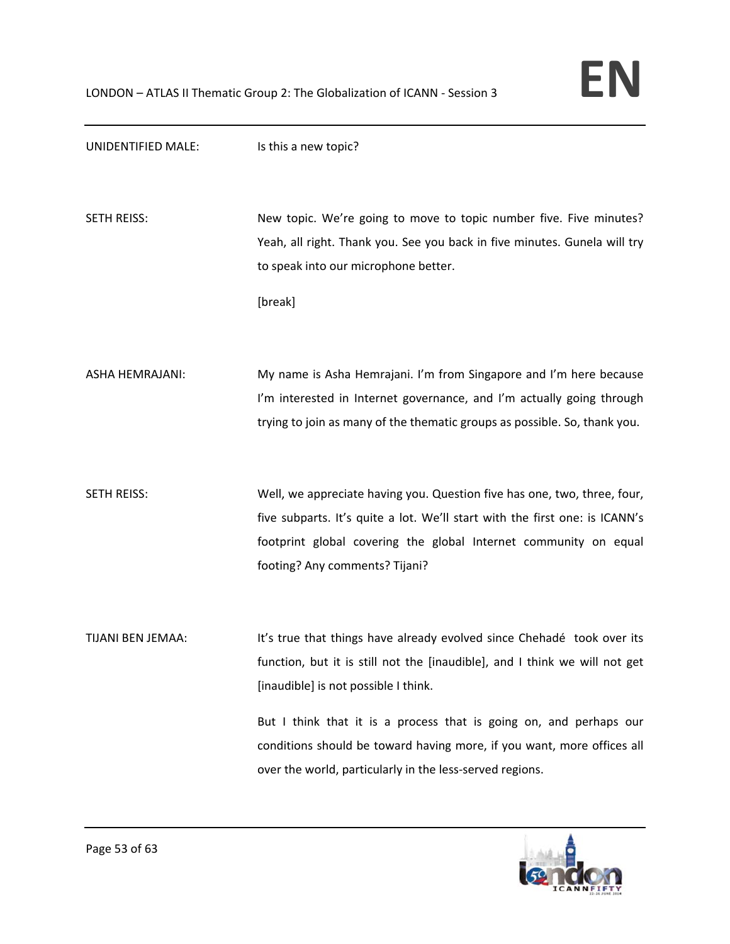

| UNIDENTIFIED MALE:     | Is this a new topic?                                                        |
|------------------------|-----------------------------------------------------------------------------|
|                        |                                                                             |
| <b>SETH REISS:</b>     | New topic. We're going to move to topic number five. Five minutes?          |
|                        | Yeah, all right. Thank you. See you back in five minutes. Gunela will try   |
|                        | to speak into our microphone better.                                        |
|                        | [break]                                                                     |
|                        |                                                                             |
| <b>ASHA HEMRAJANI:</b> | My name is Asha Hemrajani. I'm from Singapore and I'm here because          |
|                        | I'm interested in Internet governance, and I'm actually going through       |
|                        | trying to join as many of the thematic groups as possible. So, thank you.   |
|                        |                                                                             |
| <b>SETH REISS:</b>     | Well, we appreciate having you. Question five has one, two, three, four,    |
|                        | five subparts. It's quite a lot. We'll start with the first one: is ICANN's |
|                        | footprint global covering the global Internet community on equal            |
|                        | footing? Any comments? Tijani?                                              |
|                        |                                                                             |
| TIJANI BEN JEMAA:      | It's true that things have already evolved since Chehadé took over its      |
|                        | function, but it is still not the [inaudible], and I think we will not get  |
|                        | [inaudible] is not possible I think.                                        |
|                        | But I think that it is a process that is going on, and perhaps our          |
|                        | conditions should be toward having more, if you want, more offices all      |
|                        | over the world, particularly in the less-served regions.                    |

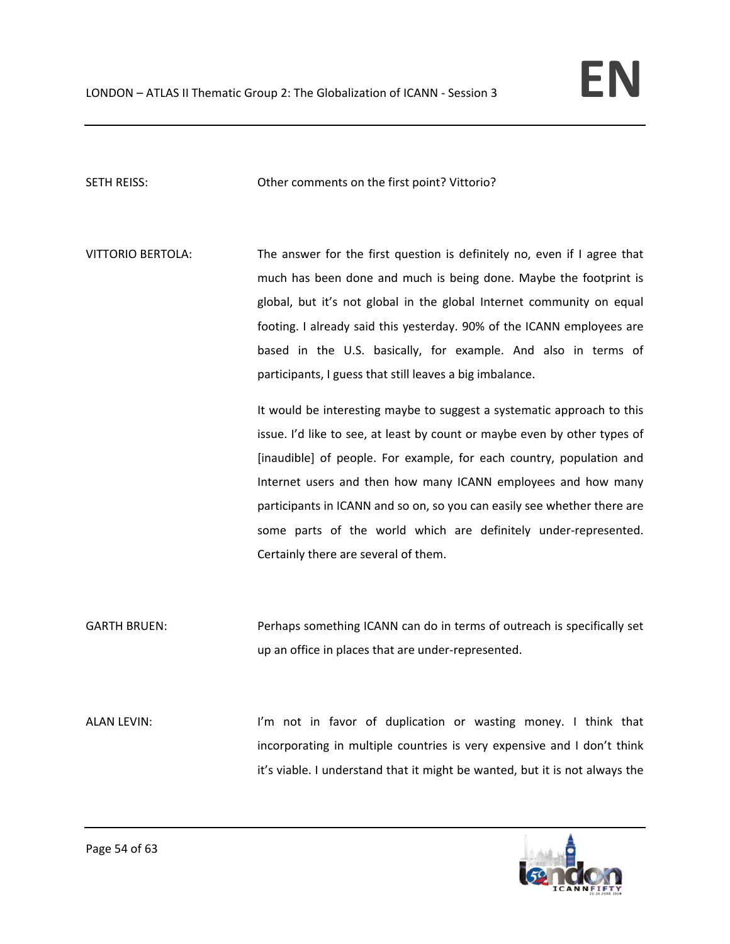SETH REISS: Other comments on the first point? Vittorio?

VITTORIO BERTOLA: The answer for the first question is definitely no, even if I agree that much has been done and much is being done. Maybe the footprint is global, but it's not global in the global Internet community on equal footing. I already said this yesterday. 90% of the ICANN employees are based in the U.S. basically, for example. And also in terms of participants, I guess that still leaves a big imbalance.

> It would be interesting maybe to suggest a systematic approach to this issue. I'd like to see, at least by count or maybe even by other types of [inaudible] of people. For example, for each country, population and Internet users and then how many ICANN employees and how many participants in ICANN and so on, so you can easily see whether there are some parts of the world which are definitely under-represented. Certainly there are several of them.

GARTH BRUEN: Perhaps something ICANN can do in terms of outreach is specifically set up an office in places that are under‐represented.

ALAN LEVIN: Ithink that im not in favor of duplication or wasting money. I think that incorporating in multiple countries is very expensive and I don't think it's viable. I understand that it might be wanted, but it is not always the

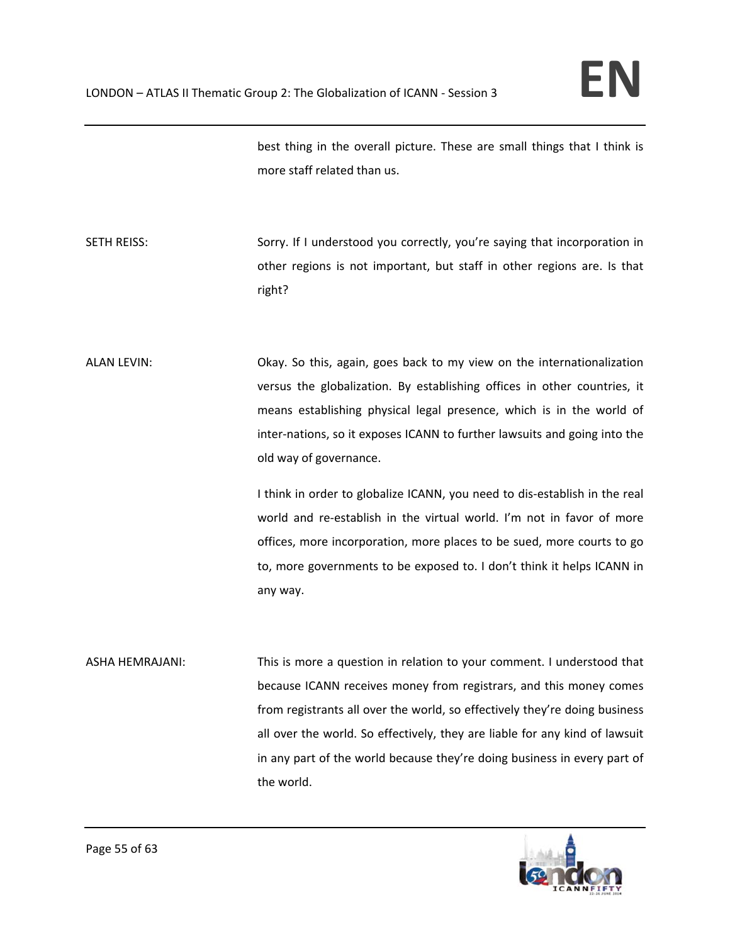best thing in the overall picture. These are small things that I think is more staff related than us.

SETH REISS: SETH REISS: Sorry. If I understood you correctly, you're saying that incorporation in other regions is not important, but staff in other regions are. Is that right?

ALAN LEVIN: Okay. So this, again, goes back to my view on the internationalization versus the globalization. By establishing offices in other countries, it means establishing physical legal presence, which is in the world of inter-nations, so it exposes ICANN to further lawsuits and going into the old way of governance.

> I think in order to globalize ICANN, you need to dis‐establish in the real world and re-establish in the virtual world. I'm not in favor of more offices, more incorporation, more places to be sued, more courts to go to, more governments to be exposed to. I don't think it helps ICANN in any way.

ASHA HEMRAJANI: This is more a question in relation to your comment. I understood that because ICANN receives money from registrars, and this money comes from registrants all over the world, so effectively they're doing business all over the world. So effectively, they are liable for any kind of lawsuit in any part of the world because they're doing business in every part of the world.

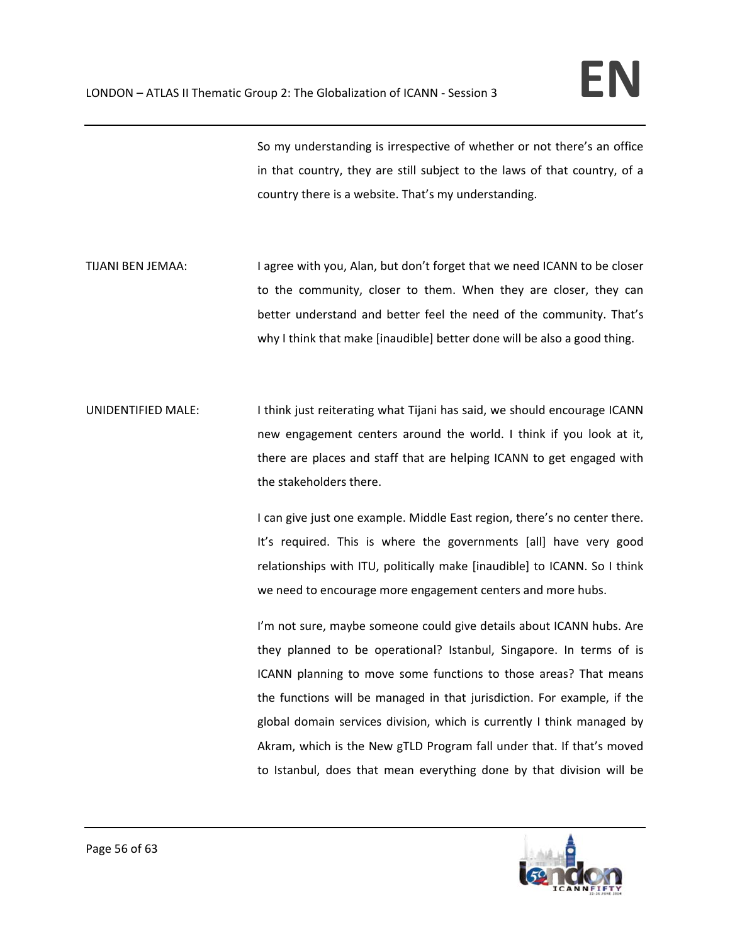So my understanding is irrespective of whether or not there's an office in that country, they are still subject to the laws of that country, of a country there is a website. That's my understanding.

- TIJANI BEN JEMAA: I agree with you, Alan, but don't forget that we need ICANN to be closer to the community, closer to them. When they are closer, they can better understand and better feel the need of the community. That's why I think that make [inaudible] better done will be also a good thing.
- UNIDENTIFIED MALE: I think just reiterating what Tijani has said, we should encourage ICANN new engagement centers around the world. I think if you look at it, there are places and staff that are helping ICANN to get engaged with the stakeholders there.

I can give just one example. Middle East region, there's no center there. It's required. This is where the governments [all] have very good relationships with ITU, politically make [inaudible] to ICANN. So I think we need to encourage more engagement centers and more hubs.

I'm not sure, maybe someone could give details about ICANN hubs. Are they planned to be operational? Istanbul, Singapore. In terms of is ICANN planning to move some functions to those areas? That means the functions will be managed in that jurisdiction. For example, if the global domain services division, which is currently I think managed by Akram, which is the New gTLD Program fall under that. If that's moved to Istanbul, does that mean everything done by that division will be

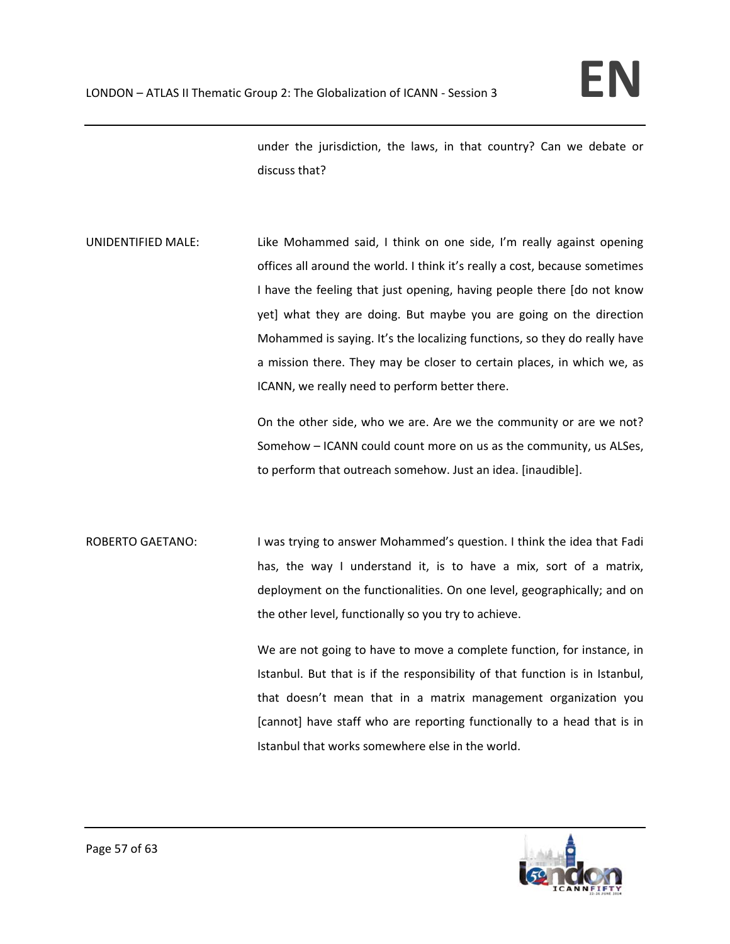under the jurisdiction, the laws, in that country? Can we debate or discuss that?

UNIDENTIFIED MALE: Like Mohammed said, I think on one side, I'm really against opening offices all around the world. I think it's really a cost, because sometimes I have the feeling that just opening, having people there [do not know yet] what they are doing. But maybe you are going on the direction Mohammed is saying. It's the localizing functions, so they do really have a mission there. They may be closer to certain places, in which we, as ICANN, we really need to perform better there.

> On the other side, who we are. Are we the community or are we not? Somehow – ICANN could count more on us as the community, us ALSes, to perform that outreach somehow. Just an idea. [inaudible].

ROBERTO GAETANO: I was trying to answer Mohammed's question. I think the idea that Fadi has, the way I understand it, is to have a mix, sort of a matrix, deployment on the functionalities. On one level, geographically; and on the other level, functionally so you try to achieve.

> We are not going to have to move a complete function, for instance, in Istanbul. But that is if the responsibility of that function is in Istanbul, that doesn't mean that in a matrix management organization you [cannot] have staff who are reporting functionally to a head that is in Istanbul that works somewhere else in the world.

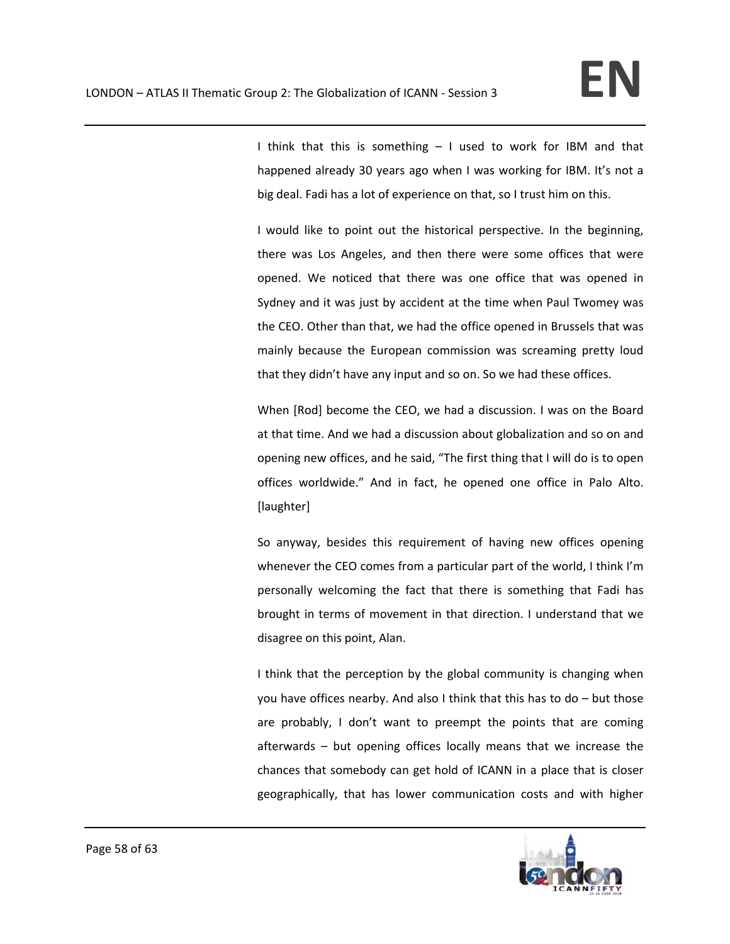I think that this is something – I used to work for IBM and that happened already 30 years ago when I was working for IBM. It's not a big deal. Fadi has a lot of experience on that, so I trust him on this.

I would like to point out the historical perspective. In the beginning, there was Los Angeles, and then there were some offices that were opened. We noticed that there was one office that was opened in Sydney and it was just by accident at the time when Paul Twomey was the CEO. Other than that, we had the office opened in Brussels that was mainly because the European commission was screaming pretty loud that they didn't have any input and so on. So we had these offices.

When [Rod] become the CEO, we had a discussion. I was on the Board at that time. And we had a discussion about globalization and so on and opening new offices, and he said, "The first thing that I will do is to open offices worldwide." And in fact, he opened one office in Palo Alto. [laughter]

So anyway, besides this requirement of having new offices opening whenever the CEO comes from a particular part of the world, I think I'm personally welcoming the fact that there is something that Fadi has brought in terms of movement in that direction. I understand that we disagree on this point, Alan.

I think that the perception by the global community is changing when you have offices nearby. And also I think that this has to do – but those are probably, I don't want to preempt the points that are coming afterwards – but opening offices locally means that we increase the chances that somebody can get hold of ICANN in a place that is closer geographically, that has lower communication costs and with higher

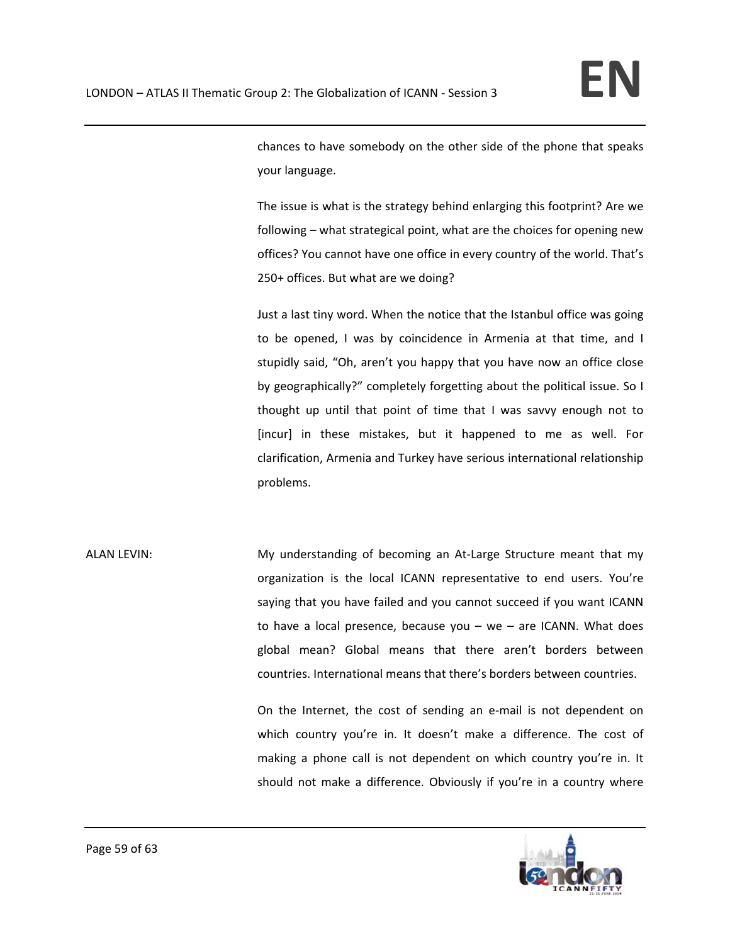chances to have somebody on the other side of the phone that speaks your language.

The issue is what is the strategy behind enlarging this footprint? Are we following – what strategical point, what are the choices for opening new offices? You cannot have one office in every country of the world. That's 250+ offices. But what are we doing?

Just a last tiny word. When the notice that the Istanbul office was going to be opened, I was by coincidence in Armenia at that time, and I stupidly said, "Oh, aren't you happy that you have now an office close by geographically?" completely forgetting about the political issue. So I thought up until that point of time that I was savvy enough not to [incur] in these mistakes, but it happened to me as well. For clarification, Armenia and Turkey have serious international relationship problems.

ALAN LEVIN: My understanding of becoming an At-Large Structure meant that my organization is the local ICANN representative to end users. You're saying that you have failed and you cannot succeed if you want ICANN to have a local presence, because you  $-$  we  $-$  are ICANN. What does global mean? Global means that there aren't borders between countries. International means that there's borders between countries.

> On the Internet, the cost of sending an e‐mail is not dependent on which country you're in. It doesn't make a difference. The cost of making a phone call is not dependent on which country you're in. It should not make a difference. Obviously if you're in a country where

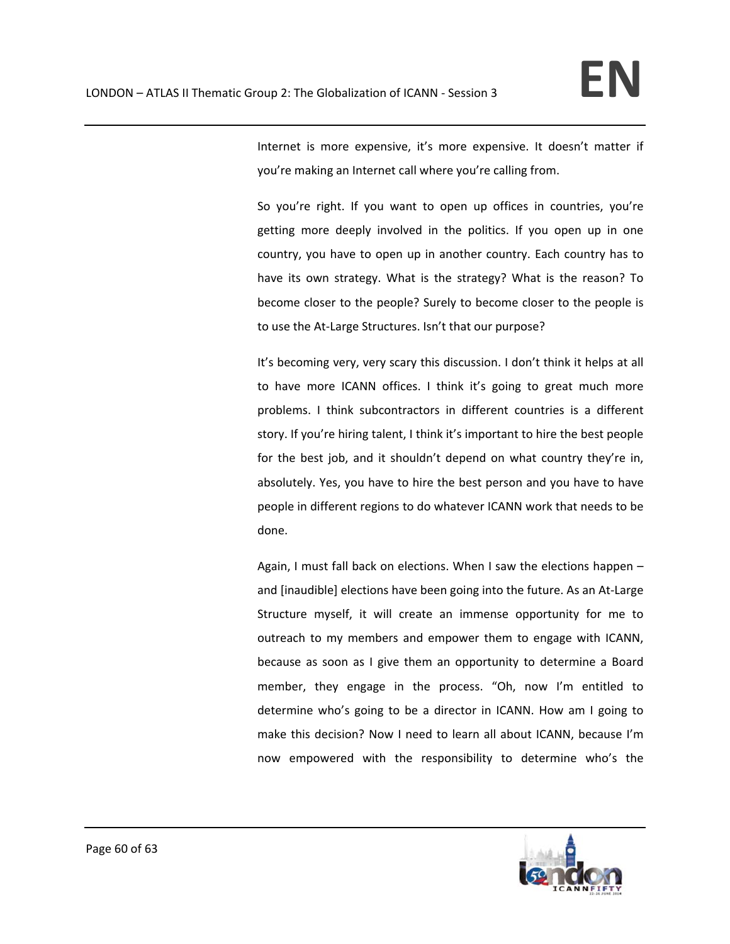Internet is more expensive, it's more expensive. It doesn't matter if you're making an Internet call where you're calling from.

So you're right. If you want to open up offices in countries, you're getting more deeply involved in the politics. If you open up in one country, you have to open up in another country. Each country has to have its own strategy. What is the strategy? What is the reason? To become closer to the people? Surely to become closer to the people is to use the At-Large Structures. Isn't that our purpose?

It's becoming very, very scary this discussion. I don't think it helps at all to have more ICANN offices. I think it's going to great much more problems. I think subcontractors in different countries is a different story. If you're hiring talent, I think it's important to hire the best people for the best job, and it shouldn't depend on what country they're in, absolutely. Yes, you have to hire the best person and you have to have people in different regions to do whatever ICANN work that needs to be done.

Again, I must fall back on elections. When I saw the elections happen – and [inaudible] elections have been going into the future. As an At‐Large Structure myself, it will create an immense opportunity for me to outreach to my members and empower them to engage with ICANN, because as soon as I give them an opportunity to determine a Board member, they engage in the process. "Oh, now I'm entitled to determine who's going to be a director in ICANN. How am I going to make this decision? Now I need to learn all about ICANN, because I'm now empowered with the responsibility to determine who's the

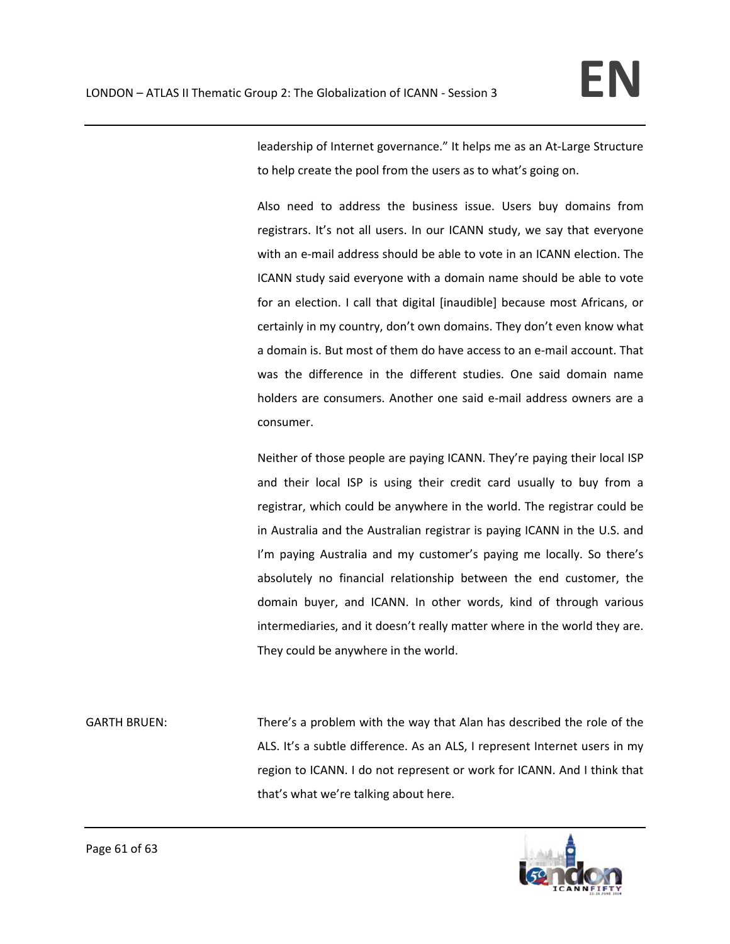leadership of Internet governance." It helps me as an At‐Large Structure to help create the pool from the users as to what's going on.

Also need to address the business issue. Users buy domains from registrars. It's not all users. In our ICANN study, we say that everyone with an e-mail address should be able to vote in an ICANN election. The ICANN study said everyone with a domain name should be able to vote for an election. I call that digital [inaudible] because most Africans, or certainly in my country, don't own domains. They don't even know what a domain is. But most of them do have access to an e‐mail account. That was the difference in the different studies. One said domain name holders are consumers. Another one said e‐mail address owners are a consumer.

Neither of those people are paying ICANN. They're paying their local ISP and their local ISP is using their credit card usually to buy from a registrar, which could be anywhere in the world. The registrar could be in Australia and the Australian registrar is paying ICANN in the U.S. and I'm paying Australia and my customer's paying me locally. So there's absolutely no financial relationship between the end customer, the domain buyer, and ICANN. In other words, kind of through various intermediaries, and it doesn't really matter where in the world they are. They could be anywhere in the world.

GARTH BRUEN: There's a problem with the way that Alan has described the role of the ALS. It's a subtle difference. As an ALS, I represent Internet users in my region to ICANN. I do not represent or work for ICANN. And I think that that's what we're talking about here.

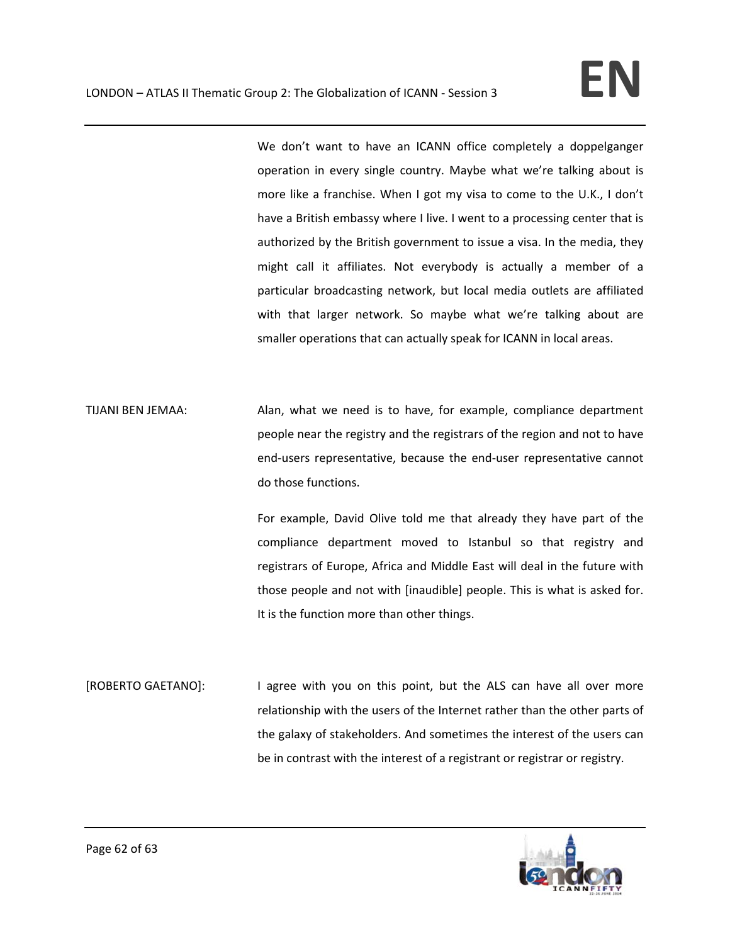We don't want to have an ICANN office completely a doppelganger operation in every single country. Maybe what we're talking about is more like a franchise. When I got my visa to come to the U.K., I don't have a British embassy where I live. I went to a processing center that is authorized by the British government to issue a visa. In the media, they might call it affiliates. Not everybody is actually a member of a particular broadcasting network, but local media outlets are affiliated with that larger network. So maybe what we're talking about are smaller operations that can actually speak for ICANN in local areas.

TIJANI BEN JEMAA: Alan, what we need is to have, for example, compliance department people near the registry and the registrars of the region and not to have end‐users representative, because the end‐user representative cannot do those functions.

> For example, David Olive told me that already they have part of the compliance department moved to Istanbul so that registry and registrars of Europe, Africa and Middle East will deal in the future with those people and not with [inaudible] people. This is what is asked for. It is the function more than other things.

[ROBERTO GAETANO]: I agree with you on this point, but the ALS can have all over more relationship with the users of the Internet rather than the other parts of the galaxy of stakeholders. And sometimes the interest of the users can be in contrast with the interest of a registrant or registrar or registry.